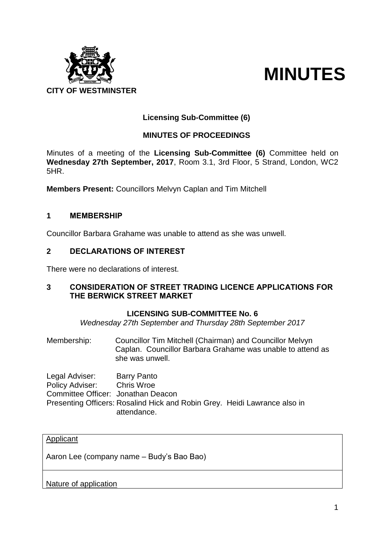

# **MINUTES**

# **Licensing Sub-Committee (6)**

# **MINUTES OF PROCEEDINGS**

Minutes of a meeting of the **Licensing Sub-Committee (6)** Committee held on **Wednesday 27th September, 2017**, Room 3.1, 3rd Floor, 5 Strand, London, WC2 5HR.

**Members Present:** Councillors Melvyn Caplan and Tim Mitchell

# **1 MEMBERSHIP**

Councillor Barbara Grahame was unable to attend as she was unwell.

# **2 DECLARATIONS OF INTEREST**

There were no declarations of interest.

# **3 CONSIDERATION OF STREET TRADING LICENCE APPLICATIONS FOR THE BERWICK STREET MARKET**

#### **LICENSING SUB-COMMITTEE No. 6**

*Wednesday 27th September and Thursday 28th September 2017*

Membership: Councillor Tim Mitchell (Chairman) and Councillor Melvyn Caplan. Councillor Barbara Grahame was unable to attend as she was unwell.

Legal Adviser: Barry Panto Policy Adviser: Chris Wroe Committee Officer: Jonathan Deacon Presenting Officers: Rosalind Hick and Robin Grey. Heidi Lawrance also in attendance.

#### Applicant

Aaron Lee (company name – Budy's Bao Bao)

Nature of application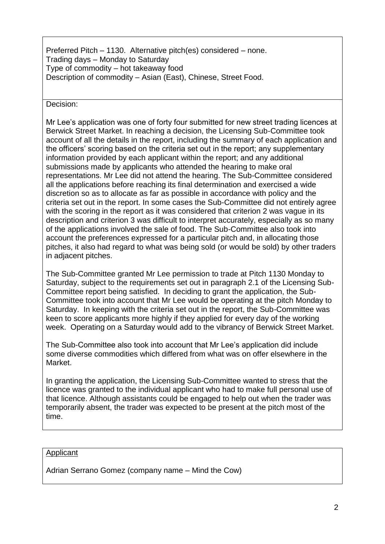Preferred Pitch – 1130. Alternative pitch(es) considered – none. Trading days – Monday to Saturday Type of commodity – hot takeaway food Description of commodity – Asian (East), Chinese, Street Food.

Decision:

Mr Lee's application was one of forty four submitted for new street trading licences at Berwick Street Market. In reaching a decision, the Licensing Sub-Committee took account of all the details in the report, including the summary of each application and the officers' scoring based on the criteria set out in the report; any supplementary information provided by each applicant within the report; and any additional submissions made by applicants who attended the hearing to make oral representations. Mr Lee did not attend the hearing. The Sub-Committee considered all the applications before reaching its final determination and exercised a wide discretion so as to allocate as far as possible in accordance with policy and the criteria set out in the report. In some cases the Sub-Committee did not entirely agree with the scoring in the report as it was considered that criterion 2 was vague in its description and criterion 3 was difficult to interpret accurately, especially as so many of the applications involved the sale of food. The Sub-Committee also took into account the preferences expressed for a particular pitch and, in allocating those pitches, it also had regard to what was being sold (or would be sold) by other traders in adjacent pitches.

The Sub-Committee granted Mr Lee permission to trade at Pitch 1130 Monday to Saturday, subject to the requirements set out in paragraph 2.1 of the Licensing Sub-Committee report being satisfied. In deciding to grant the application, the Sub-Committee took into account that Mr Lee would be operating at the pitch Monday to Saturday. In keeping with the criteria set out in the report, the Sub-Committee was keen to score applicants more highly if they applied for every day of the working week. Operating on a Saturday would add to the vibrancy of Berwick Street Market.

The Sub-Committee also took into account that Mr Lee's application did include some diverse commodities which differed from what was on offer elsewhere in the Market.

In granting the application, the Licensing Sub-Committee wanted to stress that the licence was granted to the individual applicant who had to make full personal use of that licence. Although assistants could be engaged to help out when the trader was temporarily absent, the trader was expected to be present at the pitch most of the time.

#### Applicant

Adrian Serrano Gomez (company name – Mind the Cow)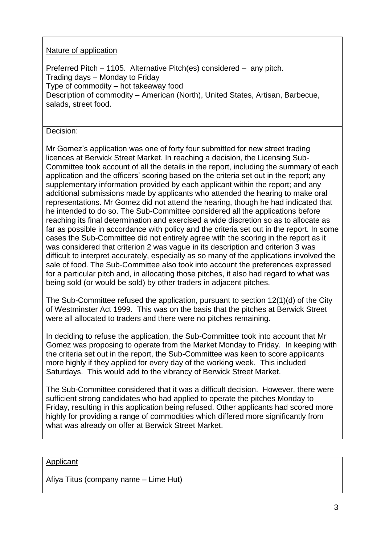# Nature of application

Preferred Pitch – 1105. Alternative Pitch(es) considered – any pitch. Trading days – Monday to Friday Type of commodity – hot takeaway food Description of commodity – American (North), United States, Artisan, Barbecue, salads, street food.

Decision:

Mr Gomez's application was one of forty four submitted for new street trading licences at Berwick Street Market. In reaching a decision, the Licensing Sub-Committee took account of all the details in the report, including the summary of each application and the officers' scoring based on the criteria set out in the report; any supplementary information provided by each applicant within the report; and any additional submissions made by applicants who attended the hearing to make oral representations. Mr Gomez did not attend the hearing, though he had indicated that he intended to do so. The Sub-Committee considered all the applications before reaching its final determination and exercised a wide discretion so as to allocate as far as possible in accordance with policy and the criteria set out in the report. In some cases the Sub-Committee did not entirely agree with the scoring in the report as it was considered that criterion 2 was vague in its description and criterion 3 was difficult to interpret accurately, especially as so many of the applications involved the sale of food. The Sub-Committee also took into account the preferences expressed for a particular pitch and, in allocating those pitches, it also had regard to what was being sold (or would be sold) by other traders in adjacent pitches.

The Sub-Committee refused the application, pursuant to section 12(1)(d) of the City of Westminster Act 1999. This was on the basis that the pitches at Berwick Street were all allocated to traders and there were no pitches remaining.

In deciding to refuse the application, the Sub-Committee took into account that Mr Gomez was proposing to operate from the Market Monday to Friday. In keeping with the criteria set out in the report, the Sub-Committee was keen to score applicants more highly if they applied for every day of the working week. This included Saturdays. This would add to the vibrancy of Berwick Street Market.

The Sub-Committee considered that it was a difficult decision. However, there were sufficient strong candidates who had applied to operate the pitches Monday to Friday, resulting in this application being refused. Other applicants had scored more highly for providing a range of commodities which differed more significantly from what was already on offer at Berwick Street Market.

#### Applicant

Afiya Titus (company name – Lime Hut)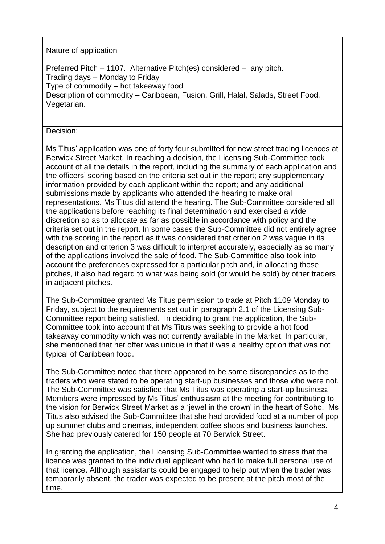# Nature of application

Preferred Pitch – 1107. Alternative Pitch(es) considered – any pitch. Trading days – Monday to Friday Type of commodity – hot takeaway food Description of commodity – Caribbean, Fusion, Grill, Halal, Salads, Street Food, Vegetarian.

# Decision:

Ms Titus' application was one of forty four submitted for new street trading licences at Berwick Street Market. In reaching a decision, the Licensing Sub-Committee took account of all the details in the report, including the summary of each application and the officers' scoring based on the criteria set out in the report; any supplementary information provided by each applicant within the report; and any additional submissions made by applicants who attended the hearing to make oral representations. Ms Titus did attend the hearing. The Sub-Committee considered all the applications before reaching its final determination and exercised a wide discretion so as to allocate as far as possible in accordance with policy and the criteria set out in the report. In some cases the Sub-Committee did not entirely agree with the scoring in the report as it was considered that criterion 2 was vague in its description and criterion 3 was difficult to interpret accurately, especially as so many of the applications involved the sale of food. The Sub-Committee also took into account the preferences expressed for a particular pitch and, in allocating those pitches, it also had regard to what was being sold (or would be sold) by other traders in adjacent pitches.

The Sub-Committee granted Ms Titus permission to trade at Pitch 1109 Monday to Friday, subject to the requirements set out in paragraph 2.1 of the Licensing Sub-Committee report being satisfied. In deciding to grant the application, the Sub-Committee took into account that Ms Titus was seeking to provide a hot food takeaway commodity which was not currently available in the Market. In particular, she mentioned that her offer was unique in that it was a healthy option that was not typical of Caribbean food.

The Sub-Committee noted that there appeared to be some discrepancies as to the traders who were stated to be operating start-up businesses and those who were not. The Sub-Committee was satisfied that Ms Titus was operating a start-up business. Members were impressed by Ms Titus' enthusiasm at the meeting for contributing to the vision for Berwick Street Market as a 'jewel in the crown' in the heart of Soho. Ms Titus also advised the Sub-Committee that she had provided food at a number of pop up summer clubs and cinemas, independent coffee shops and business launches. She had previously catered for 150 people at 70 Berwick Street.

In granting the application, the Licensing Sub-Committee wanted to stress that the licence was granted to the individual applicant who had to make full personal use of that licence. Although assistants could be engaged to help out when the trader was temporarily absent, the trader was expected to be present at the pitch most of the time.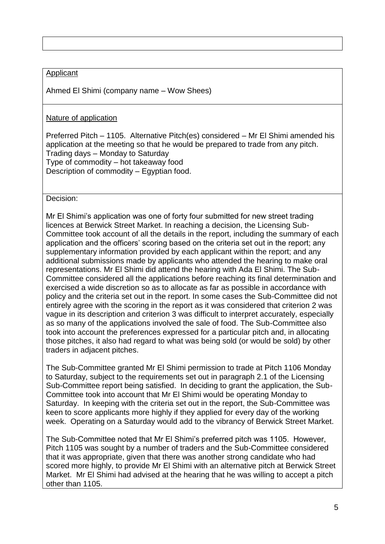# Applicant

Ahmed El Shimi (company name – Wow Shees)

#### Nature of application

Preferred Pitch – 1105. Alternative Pitch(es) considered – Mr El Shimi amended his application at the meeting so that he would be prepared to trade from any pitch. Trading days – Monday to Saturday Type of commodity – hot takeaway food Description of commodity – Egyptian food.

Decision:

Mr El Shimi's application was one of forty four submitted for new street trading licences at Berwick Street Market. In reaching a decision, the Licensing Sub-Committee took account of all the details in the report, including the summary of each application and the officers' scoring based on the criteria set out in the report; any supplementary information provided by each applicant within the report; and any additional submissions made by applicants who attended the hearing to make oral representations. Mr El Shimi did attend the hearing with Ada El Shimi. The Sub-Committee considered all the applications before reaching its final determination and exercised a wide discretion so as to allocate as far as possible in accordance with policy and the criteria set out in the report. In some cases the Sub-Committee did not entirely agree with the scoring in the report as it was considered that criterion 2 was vague in its description and criterion 3 was difficult to interpret accurately, especially as so many of the applications involved the sale of food. The Sub-Committee also took into account the preferences expressed for a particular pitch and, in allocating those pitches, it also had regard to what was being sold (or would be sold) by other traders in adjacent pitches.

The Sub-Committee granted Mr El Shimi permission to trade at Pitch 1106 Monday to Saturday, subject to the requirements set out in paragraph 2.1 of the Licensing Sub-Committee report being satisfied. In deciding to grant the application, the Sub-Committee took into account that Mr El Shimi would be operating Monday to Saturday. In keeping with the criteria set out in the report, the Sub-Committee was keen to score applicants more highly if they applied for every day of the working week. Operating on a Saturday would add to the vibrancy of Berwick Street Market.

The Sub-Committee noted that Mr El Shimi's preferred pitch was 1105. However, Pitch 1105 was sought by a number of traders and the Sub-Committee considered that it was appropriate, given that there was another strong candidate who had scored more highly, to provide Mr El Shimi with an alternative pitch at Berwick Street Market. Mr El Shimi had advised at the hearing that he was willing to accept a pitch other than 1105.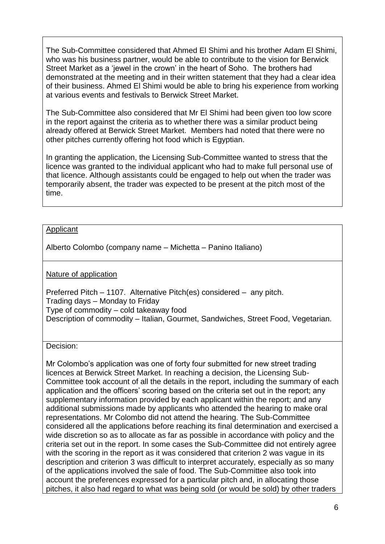The Sub-Committee considered that Ahmed El Shimi and his brother Adam El Shimi, who was his business partner, would be able to contribute to the vision for Berwick Street Market as a 'jewel in the crown' in the heart of Soho. The brothers had demonstrated at the meeting and in their written statement that they had a clear idea of their business. Ahmed El Shimi would be able to bring his experience from working at various events and festivals to Berwick Street Market.

The Sub-Committee also considered that Mr El Shimi had been given too low score in the report against the criteria as to whether there was a similar product being already offered at Berwick Street Market. Members had noted that there were no other pitches currently offering hot food which is Egyptian.

In granting the application, the Licensing Sub-Committee wanted to stress that the licence was granted to the individual applicant who had to make full personal use of that licence. Although assistants could be engaged to help out when the trader was temporarily absent, the trader was expected to be present at the pitch most of the time.

#### Applicant

Alberto Colombo (company name – Michetta – Panino Italiano)

Nature of application

Preferred Pitch – 1107. Alternative Pitch(es) considered – any pitch. Trading days – Monday to Friday Type of commodity – cold takeaway food Description of commodity – Italian, Gourmet, Sandwiches, Street Food, Vegetarian.

Decision:

Mr Colombo's application was one of forty four submitted for new street trading licences at Berwick Street Market. In reaching a decision, the Licensing Sub-Committee took account of all the details in the report, including the summary of each application and the officers' scoring based on the criteria set out in the report; any supplementary information provided by each applicant within the report; and any additional submissions made by applicants who attended the hearing to make oral representations. Mr Colombo did not attend the hearing. The Sub-Committee considered all the applications before reaching its final determination and exercised a wide discretion so as to allocate as far as possible in accordance with policy and the criteria set out in the report. In some cases the Sub-Committee did not entirely agree with the scoring in the report as it was considered that criterion 2 was vague in its description and criterion 3 was difficult to interpret accurately, especially as so many of the applications involved the sale of food. The Sub-Committee also took into account the preferences expressed for a particular pitch and, in allocating those pitches, it also had regard to what was being sold (or would be sold) by other traders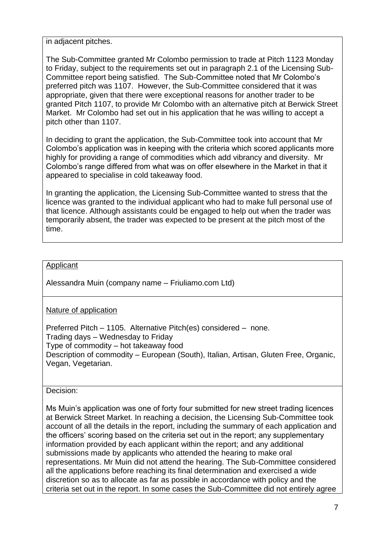in adjacent pitches.

The Sub-Committee granted Mr Colombo permission to trade at Pitch 1123 Monday to Friday, subject to the requirements set out in paragraph 2.1 of the Licensing Sub-Committee report being satisfied. The Sub-Committee noted that Mr Colombo's preferred pitch was 1107. However, the Sub-Committee considered that it was appropriate, given that there were exceptional reasons for another trader to be granted Pitch 1107, to provide Mr Colombo with an alternative pitch at Berwick Street Market. Mr Colombo had set out in his application that he was willing to accept a pitch other than 1107.

In deciding to grant the application, the Sub-Committee took into account that Mr Colombo's application was in keeping with the criteria which scored applicants more highly for providing a range of commodities which add vibrancy and diversity. Mr Colombo's range differed from what was on offer elsewhere in the Market in that it appeared to specialise in cold takeaway food.

In granting the application, the Licensing Sub-Committee wanted to stress that the licence was granted to the individual applicant who had to make full personal use of that licence. Although assistants could be engaged to help out when the trader was temporarily absent, the trader was expected to be present at the pitch most of the time.

# Applicant

Alessandra Muin (company name – Friuliamo.com Ltd)

Nature of application

Preferred Pitch – 1105. Alternative Pitch(es) considered – none. Trading days – Wednesday to Friday Type of commodity – hot takeaway food Description of commodity – European (South), Italian, Artisan, Gluten Free, Organic, Vegan, Vegetarian.

Decision:

Ms Muin's application was one of forty four submitted for new street trading licences at Berwick Street Market. In reaching a decision, the Licensing Sub-Committee took account of all the details in the report, including the summary of each application and the officers' scoring based on the criteria set out in the report; any supplementary information provided by each applicant within the report; and any additional submissions made by applicants who attended the hearing to make oral representations. Mr Muin did not attend the hearing. The Sub-Committee considered all the applications before reaching its final determination and exercised a wide discretion so as to allocate as far as possible in accordance with policy and the criteria set out in the report. In some cases the Sub-Committee did not entirely agree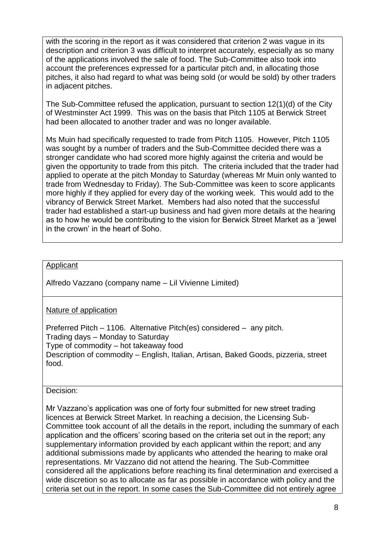with the scoring in the report as it was considered that criterion 2 was vague in its description and criterion 3 was difficult to interpret accurately, especially as so many of the applications involved the sale of food. The Sub-Committee also took into account the preferences expressed for a particular pitch and, in allocating those pitches, it also had regard to what was being sold (or would be sold) by other traders in adjacent pitches.

The Sub-Committee refused the application, pursuant to section 12(1)(d) of the City of Westminster Act 1999. This was on the basis that Pitch 1105 at Berwick Street had been allocated to another trader and was no longer available.

Ms Muin had specifically requested to trade from Pitch 1105. However, Pitch 1105 was sought by a number of traders and the Sub-Committee decided there was a stronger candidate who had scored more highly against the criteria and would be given the opportunity to trade from this pitch. The criteria included that the trader had applied to operate at the pitch Monday to Saturday (whereas Mr Muin only wanted to trade from Wednesday to Friday). The Sub-Committee was keen to score applicants more highly if they applied for every day of the working week. This would add to the vibrancy of Berwick Street Market. Members had also noted that the successful trader had established a start-up business and had given more details at the hearing as to how he would be contributing to the vision for Berwick Street Market as a 'jewel in the crown' in the heart of Soho.

# Applicant

Alfredo Vazzano (company name – Lil Vivienne Limited)

Nature of application

Preferred Pitch – 1106. Alternative Pitch(es) considered – any pitch. Trading days – Monday to Saturday Type of commodity – hot takeaway food Description of commodity – English, Italian, Artisan, Baked Goods, pizzeria, street food.

Decision:

Mr Vazzano's application was one of forty four submitted for new street trading licences at Berwick Street Market. In reaching a decision, the Licensing Sub-Committee took account of all the details in the report, including the summary of each application and the officers' scoring based on the criteria set out in the report; any supplementary information provided by each applicant within the report; and any additional submissions made by applicants who attended the hearing to make oral representations. Mr Vazzano did not attend the hearing. The Sub-Committee considered all the applications before reaching its final determination and exercised a wide discretion so as to allocate as far as possible in accordance with policy and the criteria set out in the report. In some cases the Sub-Committee did not entirely agree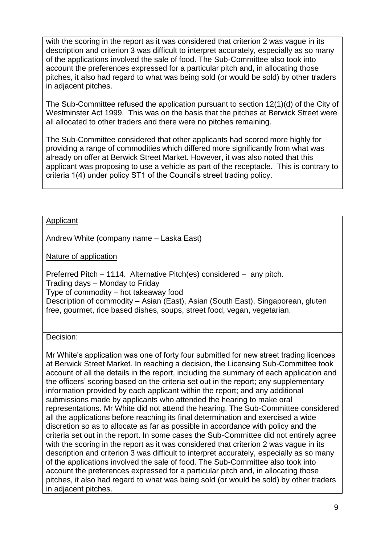with the scoring in the report as it was considered that criterion 2 was vague in its description and criterion 3 was difficult to interpret accurately, especially as so many of the applications involved the sale of food. The Sub-Committee also took into account the preferences expressed for a particular pitch and, in allocating those pitches, it also had regard to what was being sold (or would be sold) by other traders in adjacent pitches.

The Sub-Committee refused the application pursuant to section 12(1)(d) of the City of Westminster Act 1999. This was on the basis that the pitches at Berwick Street were all allocated to other traders and there were no pitches remaining.

The Sub-Committee considered that other applicants had scored more highly for providing a range of commodities which differed more significantly from what was already on offer at Berwick Street Market. However, it was also noted that this applicant was proposing to use a vehicle as part of the receptacle. This is contrary to criteria 1(4) under policy ST1 of the Council's street trading policy.

#### **Applicant**

Andrew White (company name – Laska East)

Nature of application

Preferred Pitch – 1114. Alternative Pitch(es) considered – any pitch. Trading days – Monday to Friday Type of commodity – hot takeaway food Description of commodity – Asian (East), Asian (South East), Singaporean, gluten free, gourmet, rice based dishes, soups, street food, vegan, vegetarian.

Decision:

Mr White's application was one of forty four submitted for new street trading licences at Berwick Street Market. In reaching a decision, the Licensing Sub-Committee took account of all the details in the report, including the summary of each application and the officers' scoring based on the criteria set out in the report; any supplementary information provided by each applicant within the report; and any additional submissions made by applicants who attended the hearing to make oral representations. Mr White did not attend the hearing. The Sub-Committee considered all the applications before reaching its final determination and exercised a wide discretion so as to allocate as far as possible in accordance with policy and the criteria set out in the report. In some cases the Sub-Committee did not entirely agree with the scoring in the report as it was considered that criterion 2 was vague in its description and criterion 3 was difficult to interpret accurately, especially as so many of the applications involved the sale of food. The Sub-Committee also took into account the preferences expressed for a particular pitch and, in allocating those pitches, it also had regard to what was being sold (or would be sold) by other traders in adjacent pitches.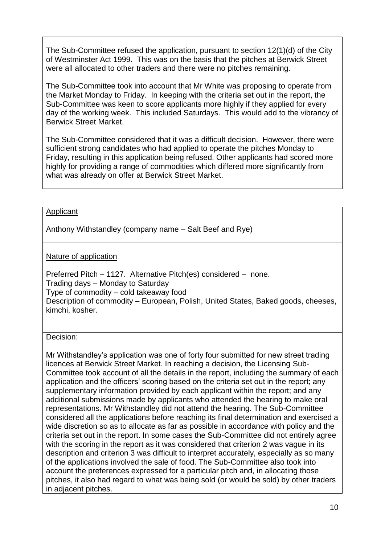The Sub-Committee refused the application, pursuant to section 12(1)(d) of the City of Westminster Act 1999. This was on the basis that the pitches at Berwick Street were all allocated to other traders and there were no pitches remaining.

The Sub-Committee took into account that Mr White was proposing to operate from the Market Monday to Friday. In keeping with the criteria set out in the report, the Sub-Committee was keen to score applicants more highly if they applied for every day of the working week. This included Saturdays. This would add to the vibrancy of Berwick Street Market.

The Sub-Committee considered that it was a difficult decision. However, there were sufficient strong candidates who had applied to operate the pitches Monday to Friday, resulting in this application being refused. Other applicants had scored more highly for providing a range of commodities which differed more significantly from what was already on offer at Berwick Street Market.

#### Applicant

Anthony Withstandley (company name – Salt Beef and Rye)

# Nature of application

Preferred Pitch – 1127. Alternative Pitch(es) considered – none. Trading days – Monday to Saturday Type of commodity – cold takeaway food Description of commodity – European, Polish, United States, Baked goods, cheeses, kimchi, kosher.

#### Decision:

Mr Withstandley's application was one of forty four submitted for new street trading licences at Berwick Street Market. In reaching a decision, the Licensing Sub-Committee took account of all the details in the report, including the summary of each application and the officers' scoring based on the criteria set out in the report; any supplementary information provided by each applicant within the report; and any additional submissions made by applicants who attended the hearing to make oral representations. Mr Withstandley did not attend the hearing. The Sub-Committee considered all the applications before reaching its final determination and exercised a wide discretion so as to allocate as far as possible in accordance with policy and the criteria set out in the report. In some cases the Sub-Committee did not entirely agree with the scoring in the report as it was considered that criterion 2 was vague in its description and criterion 3 was difficult to interpret accurately, especially as so many of the applications involved the sale of food. The Sub-Committee also took into account the preferences expressed for a particular pitch and, in allocating those pitches, it also had regard to what was being sold (or would be sold) by other traders in adjacent pitches.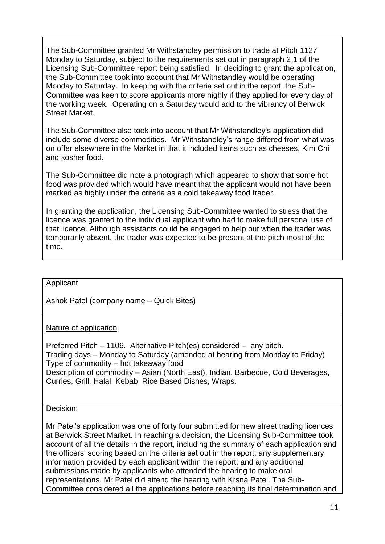The Sub-Committee granted Mr Withstandley permission to trade at Pitch 1127 Monday to Saturday, subject to the requirements set out in paragraph 2.1 of the Licensing Sub-Committee report being satisfied. In deciding to grant the application, the Sub-Committee took into account that Mr Withstandley would be operating Monday to Saturday. In keeping with the criteria set out in the report, the Sub-Committee was keen to score applicants more highly if they applied for every day of the working week. Operating on a Saturday would add to the vibrancy of Berwick Street Market.

The Sub-Committee also took into account that Mr Withstandley's application did include some diverse commodities. Mr Withstandley's range differed from what was on offer elsewhere in the Market in that it included items such as cheeses, Kim Chi and kosher food.

The Sub-Committee did note a photograph which appeared to show that some hot food was provided which would have meant that the applicant would not have been marked as highly under the criteria as a cold takeaway food trader.

In granting the application, the Licensing Sub-Committee wanted to stress that the licence was granted to the individual applicant who had to make full personal use of that licence. Although assistants could be engaged to help out when the trader was temporarily absent, the trader was expected to be present at the pitch most of the time.

## Applicant

Ashok Patel (company name – Quick Bites)

# Nature of application

Preferred Pitch – 1106. Alternative Pitch(es) considered – any pitch. Trading days – Monday to Saturday (amended at hearing from Monday to Friday) Type of commodity – hot takeaway food Description of commodity – Asian (North East), Indian, Barbecue, Cold Beverages, Curries, Grill, Halal, Kebab, Rice Based Dishes, Wraps.

#### Decision:

Mr Patel's application was one of forty four submitted for new street trading licences at Berwick Street Market. In reaching a decision, the Licensing Sub-Committee took account of all the details in the report, including the summary of each application and the officers' scoring based on the criteria set out in the report; any supplementary information provided by each applicant within the report; and any additional submissions made by applicants who attended the hearing to make oral representations. Mr Patel did attend the hearing with Krsna Patel. The Sub-Committee considered all the applications before reaching its final determination and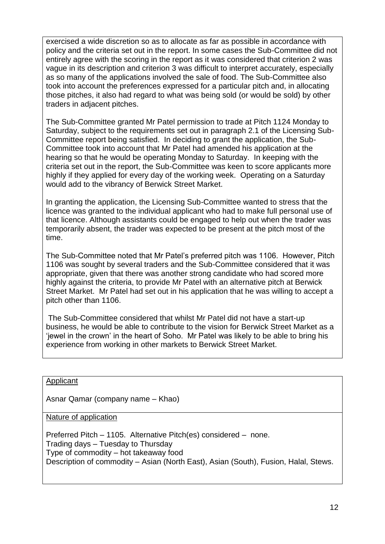exercised a wide discretion so as to allocate as far as possible in accordance with policy and the criteria set out in the report. In some cases the Sub-Committee did not entirely agree with the scoring in the report as it was considered that criterion 2 was vague in its description and criterion 3 was difficult to interpret accurately, especially as so many of the applications involved the sale of food. The Sub-Committee also took into account the preferences expressed for a particular pitch and, in allocating those pitches, it also had regard to what was being sold (or would be sold) by other traders in adjacent pitches.

The Sub-Committee granted Mr Patel permission to trade at Pitch 1124 Monday to Saturday, subject to the requirements set out in paragraph 2.1 of the Licensing Sub-Committee report being satisfied. In deciding to grant the application, the Sub-Committee took into account that Mr Patel had amended his application at the hearing so that he would be operating Monday to Saturday. In keeping with the criteria set out in the report, the Sub-Committee was keen to score applicants more highly if they applied for every day of the working week. Operating on a Saturday would add to the vibrancy of Berwick Street Market.

In granting the application, the Licensing Sub-Committee wanted to stress that the licence was granted to the individual applicant who had to make full personal use of that licence. Although assistants could be engaged to help out when the trader was temporarily absent, the trader was expected to be present at the pitch most of the time.

The Sub-Committee noted that Mr Patel's preferred pitch was 1106. However, Pitch 1106 was sought by several traders and the Sub-Committee considered that it was appropriate, given that there was another strong candidate who had scored more highly against the criteria, to provide Mr Patel with an alternative pitch at Berwick Street Market. Mr Patel had set out in his application that he was willing to accept a pitch other than 1106.

The Sub-Committee considered that whilst Mr Patel did not have a start-up business, he would be able to contribute to the vision for Berwick Street Market as a 'jewel in the crown' in the heart of Soho. Mr Patel was likely to be able to bring his experience from working in other markets to Berwick Street Market.

Applicant

Asnar Qamar (company name – Khao)

Nature of application

Preferred Pitch – 1105. Alternative Pitch(es) considered – none. Trading days – Tuesday to Thursday Type of commodity – hot takeaway food Description of commodity – Asian (North East), Asian (South), Fusion, Halal, Stews.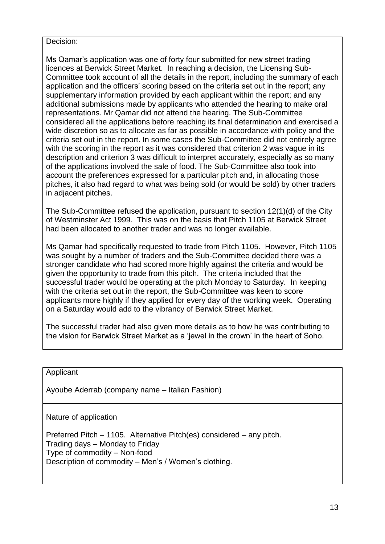#### Decision:

Ms Qamar's application was one of forty four submitted for new street trading licences at Berwick Street Market. In reaching a decision, the Licensing Sub-Committee took account of all the details in the report, including the summary of each application and the officers' scoring based on the criteria set out in the report; any supplementary information provided by each applicant within the report; and any additional submissions made by applicants who attended the hearing to make oral representations. Mr Qamar did not attend the hearing. The Sub-Committee considered all the applications before reaching its final determination and exercised a wide discretion so as to allocate as far as possible in accordance with policy and the criteria set out in the report. In some cases the Sub-Committee did not entirely agree with the scoring in the report as it was considered that criterion 2 was vague in its description and criterion 3 was difficult to interpret accurately, especially as so many of the applications involved the sale of food. The Sub-Committee also took into account the preferences expressed for a particular pitch and, in allocating those pitches, it also had regard to what was being sold (or would be sold) by other traders in adjacent pitches.

The Sub-Committee refused the application, pursuant to section 12(1)(d) of the City of Westminster Act 1999. This was on the basis that Pitch 1105 at Berwick Street had been allocated to another trader and was no longer available.

Ms Qamar had specifically requested to trade from Pitch 1105. However, Pitch 1105 was sought by a number of traders and the Sub-Committee decided there was a stronger candidate who had scored more highly against the criteria and would be given the opportunity to trade from this pitch. The criteria included that the successful trader would be operating at the pitch Monday to Saturday. In keeping with the criteria set out in the report, the Sub-Committee was keen to score applicants more highly if they applied for every day of the working week. Operating on a Saturday would add to the vibrancy of Berwick Street Market.

The successful trader had also given more details as to how he was contributing to the vision for Berwick Street Market as a 'jewel in the crown' in the heart of Soho.

#### Applicant

Ayoube Aderrab (company name – Italian Fashion)

Nature of application

Preferred Pitch – 1105. Alternative Pitch(es) considered – any pitch. Trading days – Monday to Friday Type of commodity – Non-food Description of commodity – Men's / Women's clothing.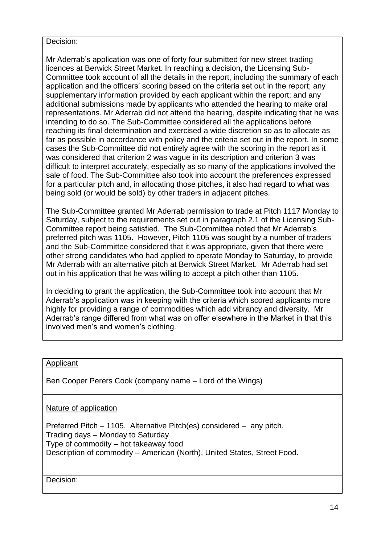### Decision:

Mr Aderrab's application was one of forty four submitted for new street trading licences at Berwick Street Market. In reaching a decision, the Licensing Sub-Committee took account of all the details in the report, including the summary of each application and the officers' scoring based on the criteria set out in the report; any supplementary information provided by each applicant within the report; and any additional submissions made by applicants who attended the hearing to make oral representations. Mr Aderrab did not attend the hearing, despite indicating that he was intending to do so. The Sub-Committee considered all the applications before reaching its final determination and exercised a wide discretion so as to allocate as far as possible in accordance with policy and the criteria set out in the report. In some cases the Sub-Committee did not entirely agree with the scoring in the report as it was considered that criterion 2 was vague in its description and criterion 3 was difficult to interpret accurately, especially as so many of the applications involved the sale of food. The Sub-Committee also took into account the preferences expressed for a particular pitch and, in allocating those pitches, it also had regard to what was being sold (or would be sold) by other traders in adjacent pitches.

The Sub-Committee granted Mr Aderrab permission to trade at Pitch 1117 Monday to Saturday, subject to the requirements set out in paragraph 2.1 of the Licensing Sub-Committee report being satisfied. The Sub-Committee noted that Mr Aderrab's preferred pitch was 1105. However, Pitch 1105 was sought by a number of traders and the Sub-Committee considered that it was appropriate, given that there were other strong candidates who had applied to operate Monday to Saturday, to provide Mr Aderrab with an alternative pitch at Berwick Street Market. Mr Aderrab had set out in his application that he was willing to accept a pitch other than 1105.

In deciding to grant the application, the Sub-Committee took into account that Mr Aderrab's application was in keeping with the criteria which scored applicants more highly for providing a range of commodities which add vibrancy and diversity. Mr Aderrab's range differed from what was on offer elsewhere in the Market in that this involved men's and women's clothing.

#### Applicant

Ben Cooper Perers Cook (company name – Lord of the Wings)

Nature of application

Preferred Pitch – 1105. Alternative Pitch(es) considered – any pitch. Trading days – Monday to Saturday Type of commodity – hot takeaway food Description of commodity – American (North), United States, Street Food.

Decision: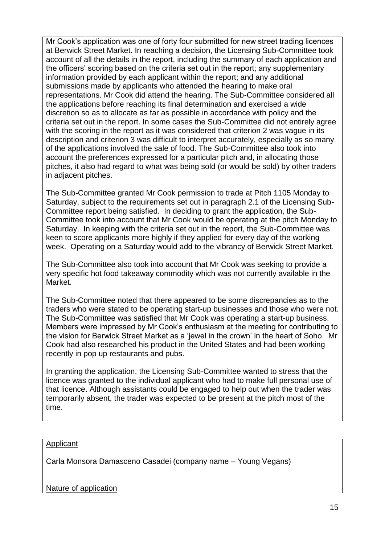Mr Cook's application was one of forty four submitted for new street trading licences at Berwick Street Market. In reaching a decision, the Licensing Sub-Committee took account of all the details in the report, including the summary of each application and the officers' scoring based on the criteria set out in the report; any supplementary information provided by each applicant within the report; and any additional submissions made by applicants who attended the hearing to make oral representations. Mr Cook did attend the hearing. The Sub-Committee considered all the applications before reaching its final determination and exercised a wide discretion so as to allocate as far as possible in accordance with policy and the criteria set out in the report. In some cases the Sub-Committee did not entirely agree with the scoring in the report as it was considered that criterion 2 was vague in its description and criterion 3 was difficult to interpret accurately, especially as so many of the applications involved the sale of food. The Sub-Committee also took into account the preferences expressed for a particular pitch and, in allocating those pitches, it also had regard to what was being sold (or would be sold) by other traders in adjacent pitches.

The Sub-Committee granted Mr Cook permission to trade at Pitch 1105 Monday to Saturday, subject to the requirements set out in paragraph 2.1 of the Licensing Sub-Committee report being satisfied. In deciding to grant the application, the Sub-Committee took into account that Mr Cook would be operating at the pitch Monday to Saturday. In keeping with the criteria set out in the report, the Sub-Committee was keen to score applicants more highly if they applied for every day of the working week. Operating on a Saturday would add to the vibrancy of Berwick Street Market.

The Sub-Committee also took into account that Mr Cook was seeking to provide a very specific hot food takeaway commodity which was not currently available in the Market.

The Sub-Committee noted that there appeared to be some discrepancies as to the traders who were stated to be operating start-up businesses and those who were not. The Sub-Committee was satisfied that Mr Cook was operating a start-up business. Members were impressed by Mr Cook's enthusiasm at the meeting for contributing to the vision for Berwick Street Market as a 'jewel in the crown' in the heart of Soho. Mr Cook had also researched his product in the United States and had been working recently in pop up restaurants and pubs.

In granting the application, the Licensing Sub-Committee wanted to stress that the licence was granted to the individual applicant who had to make full personal use of that licence. Although assistants could be engaged to help out when the trader was temporarily absent, the trader was expected to be present at the pitch most of the time.

#### Applicant

Carla Monsora Damasceno Casadei (company name – Young Vegans)

Nature of application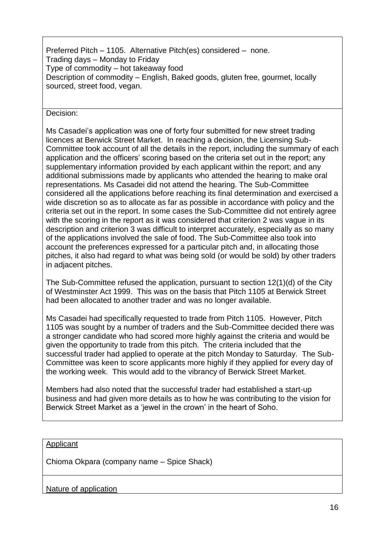Preferred Pitch – 1105. Alternative Pitch(es) considered – none. Trading days – Monday to Friday Type of commodity – hot takeaway food Description of commodity – English, Baked goods, gluten free, gourmet, locally sourced, street food, vegan.

Decision:

Ms Casadei's application was one of forty four submitted for new street trading licences at Berwick Street Market. In reaching a decision, the Licensing Sub-Committee took account of all the details in the report, including the summary of each application and the officers' scoring based on the criteria set out in the report; any supplementary information provided by each applicant within the report; and any additional submissions made by applicants who attended the hearing to make oral representations. Ms Casadei did not attend the hearing. The Sub-Committee considered all the applications before reaching its final determination and exercised a wide discretion so as to allocate as far as possible in accordance with policy and the criteria set out in the report. In some cases the Sub-Committee did not entirely agree with the scoring in the report as it was considered that criterion 2 was vague in its description and criterion 3 was difficult to interpret accurately, especially as so many of the applications involved the sale of food. The Sub-Committee also took into account the preferences expressed for a particular pitch and, in allocating those pitches, it also had regard to what was being sold (or would be sold) by other traders in adjacent pitches.

The Sub-Committee refused the application, pursuant to section 12(1)(d) of the City of Westminster Act 1999. This was on the basis that Pitch 1105 at Berwick Street had been allocated to another trader and was no longer available.

Ms Casadei had specifically requested to trade from Pitch 1105. However, Pitch 1105 was sought by a number of traders and the Sub-Committee decided there was a stronger candidate who had scored more highly against the criteria and would be given the opportunity to trade from this pitch. The criteria included that the successful trader had applied to operate at the pitch Monday to Saturday. The Sub-Committee was keen to score applicants more highly if they applied for every day of the working week. This would add to the vibrancy of Berwick Street Market.

Members had also noted that the successful trader had established a start-up business and had given more details as to how he was contributing to the vision for Berwick Street Market as a 'jewel in the crown' in the heart of Soho.

#### Applicant

Chioma Okpara (company name – Spice Shack)

Nature of application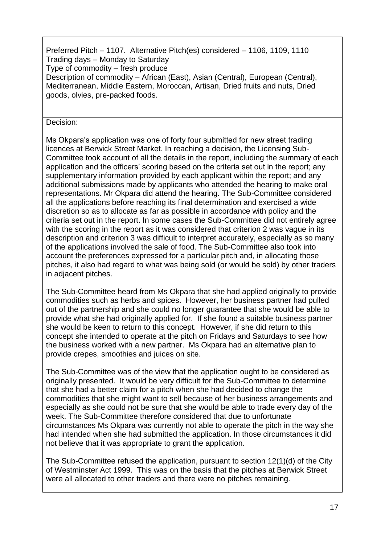Preferred Pitch – 1107. Alternative Pitch(es) considered – 1106, 1109, 1110 Trading days – Monday to Saturday Type of commodity – fresh produce Description of commodity – African (East), Asian (Central), European (Central), Mediterranean, Middle Eastern, Moroccan, Artisan, Dried fruits and nuts, Dried goods, olvies, pre-packed foods.

Decision:

Ms Okpara's application was one of forty four submitted for new street trading licences at Berwick Street Market. In reaching a decision, the Licensing Sub-Committee took account of all the details in the report, including the summary of each application and the officers' scoring based on the criteria set out in the report; any supplementary information provided by each applicant within the report; and any additional submissions made by applicants who attended the hearing to make oral representations. Mr Okpara did attend the hearing. The Sub-Committee considered all the applications before reaching its final determination and exercised a wide discretion so as to allocate as far as possible in accordance with policy and the criteria set out in the report. In some cases the Sub-Committee did not entirely agree with the scoring in the report as it was considered that criterion 2 was vague in its description and criterion 3 was difficult to interpret accurately, especially as so many of the applications involved the sale of food. The Sub-Committee also took into account the preferences expressed for a particular pitch and, in allocating those pitches, it also had regard to what was being sold (or would be sold) by other traders in adjacent pitches.

The Sub-Committee heard from Ms Okpara that she had applied originally to provide commodities such as herbs and spices. However, her business partner had pulled out of the partnership and she could no longer guarantee that she would be able to provide what she had originally applied for. If she found a suitable business partner she would be keen to return to this concept. However, if she did return to this concept she intended to operate at the pitch on Fridays and Saturdays to see how the business worked with a new partner. Ms Okpara had an alternative plan to provide crepes, smoothies and juices on site.

The Sub-Committee was of the view that the application ought to be considered as originally presented. It would be very difficult for the Sub-Committee to determine that she had a better claim for a pitch when she had decided to change the commodities that she might want to sell because of her business arrangements and especially as she could not be sure that she would be able to trade every day of the week. The Sub-Committee therefore considered that due to unfortunate circumstances Ms Okpara was currently not able to operate the pitch in the way she had intended when she had submitted the application. In those circumstances it did not believe that it was appropriate to grant the application.

The Sub-Committee refused the application, pursuant to section 12(1)(d) of the City of Westminster Act 1999. This was on the basis that the pitches at Berwick Street were all allocated to other traders and there were no pitches remaining.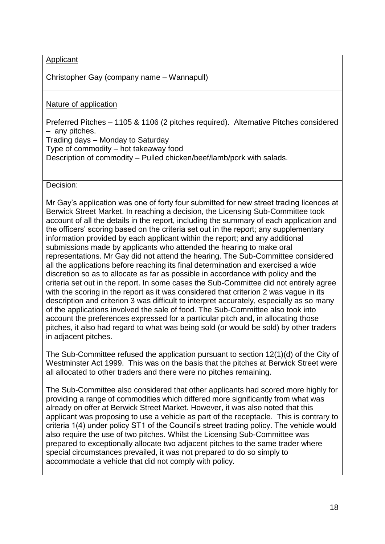**Applicant** 

Christopher Gay (company name – Wannapull)

Nature of application

Preferred Pitches – 1105 & 1106 (2 pitches required). Alternative Pitches considered – any pitches.

Trading days – Monday to Saturday Type of commodity – hot takeaway food

Description of commodity – Pulled chicken/beef/lamb/pork with salads.

Decision:

Mr Gay's application was one of forty four submitted for new street trading licences at Berwick Street Market. In reaching a decision, the Licensing Sub-Committee took account of all the details in the report, including the summary of each application and the officers' scoring based on the criteria set out in the report; any supplementary information provided by each applicant within the report; and any additional submissions made by applicants who attended the hearing to make oral representations. Mr Gay did not attend the hearing. The Sub-Committee considered all the applications before reaching its final determination and exercised a wide discretion so as to allocate as far as possible in accordance with policy and the criteria set out in the report. In some cases the Sub-Committee did not entirely agree with the scoring in the report as it was considered that criterion 2 was vague in its description and criterion 3 was difficult to interpret accurately, especially as so many of the applications involved the sale of food. The Sub-Committee also took into account the preferences expressed for a particular pitch and, in allocating those pitches, it also had regard to what was being sold (or would be sold) by other traders in adjacent pitches.

The Sub-Committee refused the application pursuant to section 12(1)(d) of the City of Westminster Act 1999. This was on the basis that the pitches at Berwick Street were all allocated to other traders and there were no pitches remaining.

The Sub-Committee also considered that other applicants had scored more highly for providing a range of commodities which differed more significantly from what was already on offer at Berwick Street Market. However, it was also noted that this applicant was proposing to use a vehicle as part of the receptacle. This is contrary to criteria 1(4) under policy ST1 of the Council's street trading policy. The vehicle would also require the use of two pitches. Whilst the Licensing Sub-Committee was prepared to exceptionally allocate two adjacent pitches to the same trader where special circumstances prevailed, it was not prepared to do so simply to accommodate a vehicle that did not comply with policy.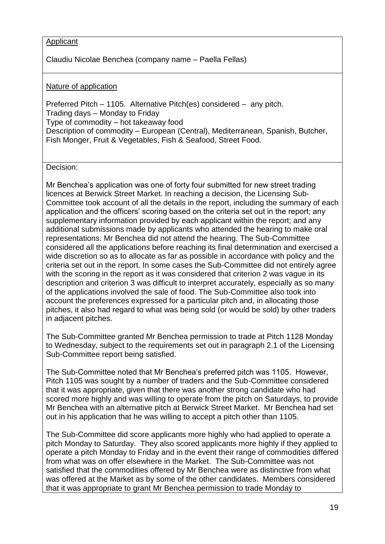# Applicant

Claudiu Nicolae Benchea (company name – Paella Fellas)

# Nature of application

Preferred Pitch – 1105. Alternative Pitch(es) considered – any pitch. Trading days – Monday to Friday Type of commodity – hot takeaway food Description of commodity – European (Central), Mediterranean, Spanish, Butcher, Fish Monger, Fruit & Vegetables, Fish & Seafood, Street Food.

Decision:

Mr Benchea's application was one of forty four submitted for new street trading licences at Berwick Street Market. In reaching a decision, the Licensing Sub-Committee took account of all the details in the report, including the summary of each application and the officers' scoring based on the criteria set out in the report; any supplementary information provided by each applicant within the report; and any additional submissions made by applicants who attended the hearing to make oral representations. Mr Benchea did not attend the hearing. The Sub-Committee considered all the applications before reaching its final determination and exercised a wide discretion so as to allocate as far as possible in accordance with policy and the criteria set out in the report. In some cases the Sub-Committee did not entirely agree with the scoring in the report as it was considered that criterion 2 was vague in its description and criterion 3 was difficult to interpret accurately, especially as so many of the applications involved the sale of food. The Sub-Committee also took into account the preferences expressed for a particular pitch and, in allocating those pitches, it also had regard to what was being sold (or would be sold) by other traders in adjacent pitches.

The Sub-Committee granted Mr Benchea permission to trade at Pitch 1128 Monday to Wednesday, subject to the requirements set out in paragraph 2.1 of the Licensing Sub-Committee report being satisfied.

The Sub-Committee noted that Mr Benchea's preferred pitch was 1105. However, Pitch 1105 was sought by a number of traders and the Sub-Committee considered that it was appropriate, given that there was another strong candidate who had scored more highly and was willing to operate from the pitch on Saturdays, to provide Mr Benchea with an alternative pitch at Berwick Street Market. Mr Benchea had set out in his application that he was willing to accept a pitch other than 1105.

The Sub-Committee did score applicants more highly who had applied to operate a pitch Monday to Saturday. They also scored applicants more highly if they applied to operate a pitch Monday to Friday and in the event their range of commodities differed from what was on offer elsewhere in the Market. The Sub-Committee was not satisfied that the commodities offered by Mr Benchea were as distinctive from what was offered at the Market as by some of the other candidates. Members considered that it was appropriate to grant Mr Benchea permission to trade Monday to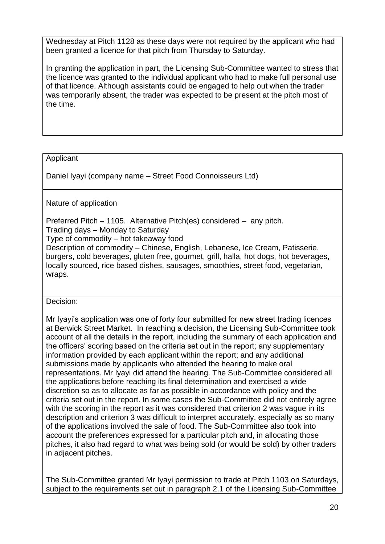Wednesday at Pitch 1128 as these days were not required by the applicant who had been granted a licence for that pitch from Thursday to Saturday.

In granting the application in part, the Licensing Sub-Committee wanted to stress that the licence was granted to the individual applicant who had to make full personal use of that licence. Although assistants could be engaged to help out when the trader was temporarily absent, the trader was expected to be present at the pitch most of the time.

# **Applicant**

Daniel Iyayi (company name – Street Food Connoisseurs Ltd)

# Nature of application

Preferred Pitch – 1105. Alternative Pitch(es) considered – any pitch.

Trading days – Monday to Saturday

Type of commodity – hot takeaway food

Description of commodity – Chinese, English, Lebanese, Ice Cream, Patisserie, burgers, cold beverages, gluten free, gourmet, grill, halla, hot dogs, hot beverages, locally sourced, rice based dishes, sausages, smoothies, street food, vegetarian, wraps.

# Decision:

Mr Iyayi's application was one of forty four submitted for new street trading licences at Berwick Street Market. In reaching a decision, the Licensing Sub-Committee took account of all the details in the report, including the summary of each application and the officers' scoring based on the criteria set out in the report; any supplementary information provided by each applicant within the report; and any additional submissions made by applicants who attended the hearing to make oral representations. Mr Iyayi did attend the hearing. The Sub-Committee considered all the applications before reaching its final determination and exercised a wide discretion so as to allocate as far as possible in accordance with policy and the criteria set out in the report. In some cases the Sub-Committee did not entirely agree with the scoring in the report as it was considered that criterion 2 was vague in its description and criterion 3 was difficult to interpret accurately, especially as so many of the applications involved the sale of food. The Sub-Committee also took into account the preferences expressed for a particular pitch and, in allocating those pitches, it also had regard to what was being sold (or would be sold) by other traders in adjacent pitches.

The Sub-Committee granted Mr Iyayi permission to trade at Pitch 1103 on Saturdays, subject to the requirements set out in paragraph 2.1 of the Licensing Sub-Committee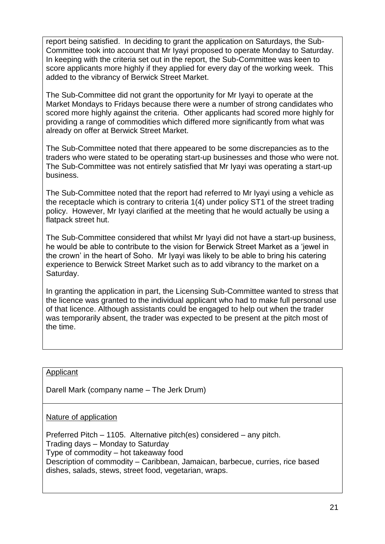report being satisfied. In deciding to grant the application on Saturdays, the Sub-Committee took into account that Mr Iyayi proposed to operate Monday to Saturday. In keeping with the criteria set out in the report, the Sub-Committee was keen to score applicants more highly if they applied for every day of the working week. This added to the vibrancy of Berwick Street Market.

The Sub-Committee did not grant the opportunity for Mr Iyayi to operate at the Market Mondays to Fridays because there were a number of strong candidates who scored more highly against the criteria. Other applicants had scored more highly for providing a range of commodities which differed more significantly from what was already on offer at Berwick Street Market.

The Sub-Committee noted that there appeared to be some discrepancies as to the traders who were stated to be operating start-up businesses and those who were not. The Sub-Committee was not entirely satisfied that Mr Iyayi was operating a start-up business.

The Sub-Committee noted that the report had referred to Mr Iyayi using a vehicle as the receptacle which is contrary to criteria 1(4) under policy ST1 of the street trading policy. However, Mr Iyayi clarified at the meeting that he would actually be using a flatpack street hut.

The Sub-Committee considered that whilst Mr Iyayi did not have a start-up business, he would be able to contribute to the vision for Berwick Street Market as a 'jewel in the crown' in the heart of Soho. Mr Iyayi was likely to be able to bring his catering experience to Berwick Street Market such as to add vibrancy to the market on a Saturday.

In granting the application in part, the Licensing Sub-Committee wanted to stress that the licence was granted to the individual applicant who had to make full personal use of that licence. Although assistants could be engaged to help out when the trader was temporarily absent, the trader was expected to be present at the pitch most of the time.

#### Applicant

Darell Mark (company name – The Jerk Drum)

Nature of application

Preferred Pitch – 1105. Alternative pitch(es) considered – any pitch. Trading days – Monday to Saturday Type of commodity – hot takeaway food Description of commodity – Caribbean, Jamaican, barbecue, curries, rice based dishes, salads, stews, street food, vegetarian, wraps.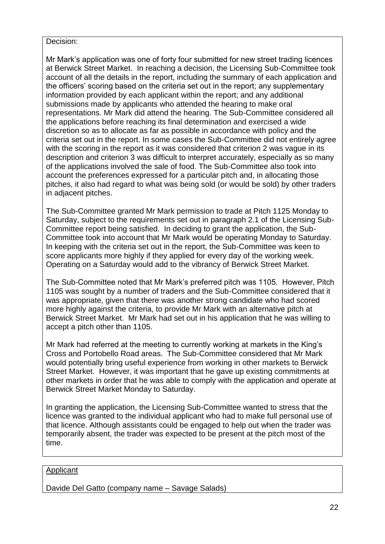#### Decision:

Mr Mark's application was one of forty four submitted for new street trading licences at Berwick Street Market. In reaching a decision, the Licensing Sub-Committee took account of all the details in the report, including the summary of each application and the officers' scoring based on the criteria set out in the report; any supplementary information provided by each applicant within the report; and any additional submissions made by applicants who attended the hearing to make oral representations. Mr Mark did attend the hearing. The Sub-Committee considered all the applications before reaching its final determination and exercised a wide discretion so as to allocate as far as possible in accordance with policy and the criteria set out in the report. In some cases the Sub-Committee did not entirely agree with the scoring in the report as it was considered that criterion 2 was vague in its description and criterion 3 was difficult to interpret accurately, especially as so many of the applications involved the sale of food. The Sub-Committee also took into account the preferences expressed for a particular pitch and, in allocating those pitches, it also had regard to what was being sold (or would be sold) by other traders in adjacent pitches.

The Sub-Committee granted Mr Mark permission to trade at Pitch 1125 Monday to Saturday, subject to the requirements set out in paragraph 2.1 of the Licensing Sub-Committee report being satisfied. In deciding to grant the application, the Sub-Committee took into account that Mr Mark would be operating Monday to Saturday. In keeping with the criteria set out in the report, the Sub-Committee was keen to score applicants more highly if they applied for every day of the working week. Operating on a Saturday would add to the vibrancy of Berwick Street Market.

The Sub-Committee noted that Mr Mark's preferred pitch was 1105. However, Pitch 1105 was sought by a number of traders and the Sub-Committee considered that it was appropriate, given that there was another strong candidate who had scored more highly against the criteria, to provide Mr Mark with an alternative pitch at Berwick Street Market. Mr Mark had set out in his application that he was willing to accept a pitch other than 1105.

Mr Mark had referred at the meeting to currently working at markets in the King's Cross and Portobello Road areas. The Sub-Committee considered that Mr Mark would potentially bring useful experience from working in other markets to Berwick Street Market. However, it was important that he gave up existing commitments at other markets in order that he was able to comply with the application and operate at Berwick Street Market Monday to Saturday.

In granting the application, the Licensing Sub-Committee wanted to stress that the licence was granted to the individual applicant who had to make full personal use of that licence. Although assistants could be engaged to help out when the trader was temporarily absent, the trader was expected to be present at the pitch most of the time.

#### Applicant

Davide Del Gatto (company name – Savage Salads)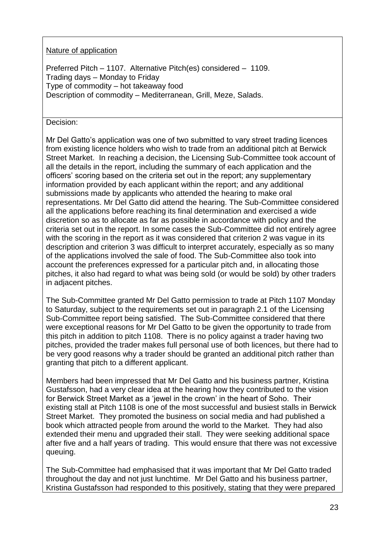# Nature of application

Preferred Pitch – 1107. Alternative Pitch(es) considered – 1109. Trading days – Monday to Friday Type of commodity – hot takeaway food Description of commodity – Mediterranean, Grill, Meze, Salads.

## Decision:

Mr Del Gatto's application was one of two submitted to vary street trading licences from existing licence holders who wish to trade from an additional pitch at Berwick Street Market. In reaching a decision, the Licensing Sub-Committee took account of all the details in the report, including the summary of each application and the officers' scoring based on the criteria set out in the report; any supplementary information provided by each applicant within the report; and any additional submissions made by applicants who attended the hearing to make oral representations. Mr Del Gatto did attend the hearing. The Sub-Committee considered all the applications before reaching its final determination and exercised a wide discretion so as to allocate as far as possible in accordance with policy and the criteria set out in the report. In some cases the Sub-Committee did not entirely agree with the scoring in the report as it was considered that criterion 2 was vague in its description and criterion 3 was difficult to interpret accurately, especially as so many of the applications involved the sale of food. The Sub-Committee also took into account the preferences expressed for a particular pitch and, in allocating those pitches, it also had regard to what was being sold (or would be sold) by other traders in adjacent pitches.

The Sub-Committee granted Mr Del Gatto permission to trade at Pitch 1107 Monday to Saturday, subject to the requirements set out in paragraph 2.1 of the Licensing Sub-Committee report being satisfied. The Sub-Committee considered that there were exceptional reasons for Mr Del Gatto to be given the opportunity to trade from this pitch in addition to pitch 1108. There is no policy against a trader having two pitches, provided the trader makes full personal use of both licences, but there had to be very good reasons why a trader should be granted an additional pitch rather than granting that pitch to a different applicant.

Members had been impressed that Mr Del Gatto and his business partner, Kristina Gustafsson, had a very clear idea at the hearing how they contributed to the vision for Berwick Street Market as a 'jewel in the crown' in the heart of Soho. Their existing stall at Pitch 1108 is one of the most successful and busiest stalls in Berwick Street Market. They promoted the business on social media and had published a book which attracted people from around the world to the Market. They had also extended their menu and upgraded their stall. They were seeking additional space after five and a half years of trading. This would ensure that there was not excessive queuing.

The Sub-Committee had emphasised that it was important that Mr Del Gatto traded throughout the day and not just lunchtime. Mr Del Gatto and his business partner, Kristina Gustafsson had responded to this positively, stating that they were prepared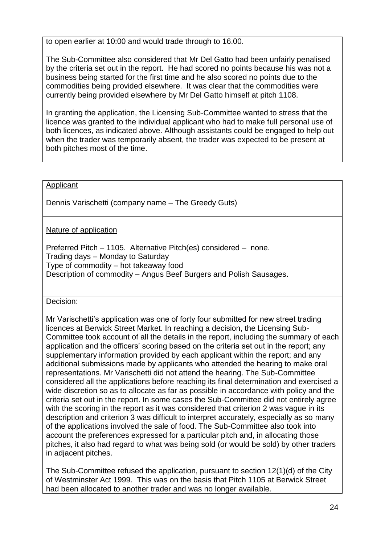to open earlier at 10:00 and would trade through to 16.00.

The Sub-Committee also considered that Mr Del Gatto had been unfairly penalised by the criteria set out in the report. He had scored no points because his was not a business being started for the first time and he also scored no points due to the commodities being provided elsewhere. It was clear that the commodities were currently being provided elsewhere by Mr Del Gatto himself at pitch 1108.

In granting the application, the Licensing Sub-Committee wanted to stress that the licence was granted to the individual applicant who had to make full personal use of both licences, as indicated above. Although assistants could be engaged to help out when the trader was temporarily absent, the trader was expected to be present at both pitches most of the time.

#### Applicant

Dennis Varischetti (company name – The Greedy Guts)

Nature of application

Preferred Pitch – 1105. Alternative Pitch(es) considered – none. Trading days – Monday to Saturday Type of commodity – hot takeaway food Description of commodity – Angus Beef Burgers and Polish Sausages.

#### Decision:

Mr Varischetti's application was one of forty four submitted for new street trading licences at Berwick Street Market. In reaching a decision, the Licensing Sub-Committee took account of all the details in the report, including the summary of each application and the officers' scoring based on the criteria set out in the report; any supplementary information provided by each applicant within the report; and any additional submissions made by applicants who attended the hearing to make oral representations. Mr Varischetti did not attend the hearing. The Sub-Committee considered all the applications before reaching its final determination and exercised a wide discretion so as to allocate as far as possible in accordance with policy and the criteria set out in the report. In some cases the Sub-Committee did not entirely agree with the scoring in the report as it was considered that criterion 2 was vague in its description and criterion 3 was difficult to interpret accurately, especially as so many of the applications involved the sale of food. The Sub-Committee also took into account the preferences expressed for a particular pitch and, in allocating those pitches, it also had regard to what was being sold (or would be sold) by other traders in adjacent pitches.

The Sub-Committee refused the application, pursuant to section 12(1)(d) of the City of Westminster Act 1999. This was on the basis that Pitch 1105 at Berwick Street had been allocated to another trader and was no longer available.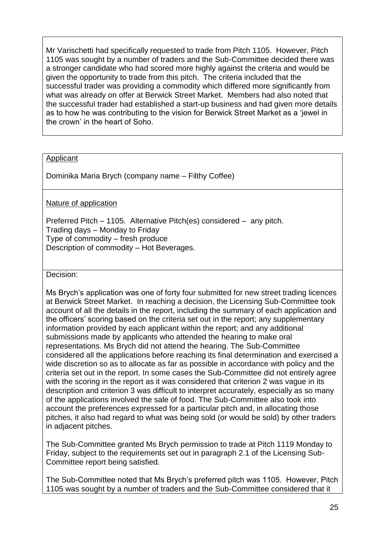Mr Varischetti had specifically requested to trade from Pitch 1105. However, Pitch 1105 was sought by a number of traders and the Sub-Committee decided there was a stronger candidate who had scored more highly against the criteria and would be given the opportunity to trade from this pitch. The criteria included that the successful trader was providing a commodity which differed more significantly from what was already on offer at Berwick Street Market. Members had also noted that the successful trader had established a start-up business and had given more details as to how he was contributing to the vision for Berwick Street Market as a 'jewel in the crown' in the heart of Soho.

#### **Applicant**

Dominika Maria Brych (company name – Filthy Coffee)

#### Nature of application

Preferred Pitch – 1105. Alternative Pitch(es) considered – any pitch. Trading days – Monday to Friday Type of commodity – fresh produce Description of commodity – Hot Beverages.

Decision:

Ms Brych's application was one of forty four submitted for new street trading licences at Berwick Street Market. In reaching a decision, the Licensing Sub-Committee took account of all the details in the report, including the summary of each application and the officers' scoring based on the criteria set out in the report; any supplementary information provided by each applicant within the report; and any additional submissions made by applicants who attended the hearing to make oral representations. Ms Brych did not attend the hearing. The Sub-Committee considered all the applications before reaching its final determination and exercised a wide discretion so as to allocate as far as possible in accordance with policy and the criteria set out in the report. In some cases the Sub-Committee did not entirely agree with the scoring in the report as it was considered that criterion 2 was vague in its description and criterion 3 was difficult to interpret accurately, especially as so many of the applications involved the sale of food. The Sub-Committee also took into account the preferences expressed for a particular pitch and, in allocating those pitches, it also had regard to what was being sold (or would be sold) by other traders in adjacent pitches.

The Sub-Committee granted Ms Brych permission to trade at Pitch 1119 Monday to Friday, subject to the requirements set out in paragraph 2.1 of the Licensing Sub-Committee report being satisfied.

The Sub-Committee noted that Ms Brych's preferred pitch was 1105. However, Pitch 1105 was sought by a number of traders and the Sub-Committee considered that it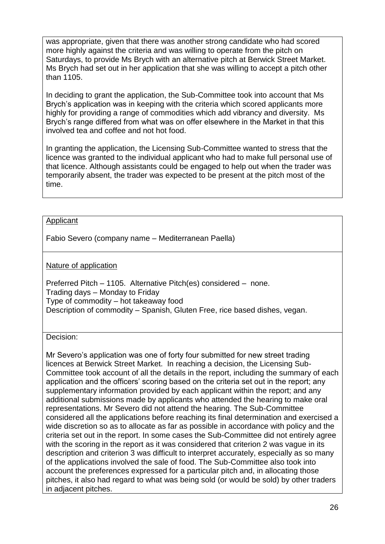was appropriate, given that there was another strong candidate who had scored more highly against the criteria and was willing to operate from the pitch on Saturdays, to provide Ms Brych with an alternative pitch at Berwick Street Market. Ms Brych had set out in her application that she was willing to accept a pitch other than 1105.

In deciding to grant the application, the Sub-Committee took into account that Ms Brych's application was in keeping with the criteria which scored applicants more highly for providing a range of commodities which add vibrancy and diversity. Ms Brych's range differed from what was on offer elsewhere in the Market in that this involved tea and coffee and not hot food.

In granting the application, the Licensing Sub-Committee wanted to stress that the licence was granted to the individual applicant who had to make full personal use of that licence. Although assistants could be engaged to help out when the trader was temporarily absent, the trader was expected to be present at the pitch most of the time.

#### **Applicant**

Fabio Severo (company name – Mediterranean Paella)

#### Nature of application

Preferred Pitch – 1105. Alternative Pitch(es) considered – none. Trading days – Monday to Friday Type of commodity – hot takeaway food Description of commodity – Spanish, Gluten Free, rice based dishes, vegan.

#### Decision:

Mr Severo's application was one of forty four submitted for new street trading licences at Berwick Street Market. In reaching a decision, the Licensing Sub-Committee took account of all the details in the report, including the summary of each application and the officers' scoring based on the criteria set out in the report; any supplementary information provided by each applicant within the report; and any additional submissions made by applicants who attended the hearing to make oral representations. Mr Severo did not attend the hearing. The Sub-Committee considered all the applications before reaching its final determination and exercised a wide discretion so as to allocate as far as possible in accordance with policy and the criteria set out in the report. In some cases the Sub-Committee did not entirely agree with the scoring in the report as it was considered that criterion 2 was vague in its description and criterion 3 was difficult to interpret accurately, especially as so many of the applications involved the sale of food. The Sub-Committee also took into account the preferences expressed for a particular pitch and, in allocating those pitches, it also had regard to what was being sold (or would be sold) by other traders in adjacent pitches.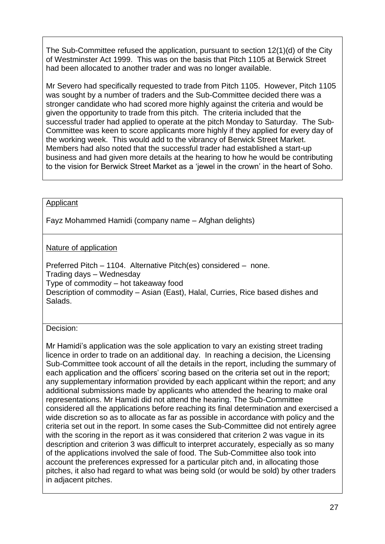The Sub-Committee refused the application, pursuant to section 12(1)(d) of the City of Westminster Act 1999. This was on the basis that Pitch 1105 at Berwick Street had been allocated to another trader and was no longer available.

Mr Severo had specifically requested to trade from Pitch 1105. However, Pitch 1105 was sought by a number of traders and the Sub-Committee decided there was a stronger candidate who had scored more highly against the criteria and would be given the opportunity to trade from this pitch. The criteria included that the successful trader had applied to operate at the pitch Monday to Saturday. The Sub-Committee was keen to score applicants more highly if they applied for every day of the working week. This would add to the vibrancy of Berwick Street Market. Members had also noted that the successful trader had established a start-up business and had given more details at the hearing to how he would be contributing to the vision for Berwick Street Market as a 'jewel in the crown' in the heart of Soho.

# Applicant

Fayz Mohammed Hamidi (company name – Afghan delights)

Nature of application

Preferred Pitch – 1104. Alternative Pitch(es) considered – none. Trading days – Wednesday Type of commodity – hot takeaway food Description of commodity – Asian (East), Halal, Curries, Rice based dishes and Salads.

# Decision:

Mr Hamidi's application was the sole application to vary an existing street trading licence in order to trade on an additional day. In reaching a decision, the Licensing Sub-Committee took account of all the details in the report, including the summary of each application and the officers' scoring based on the criteria set out in the report; any supplementary information provided by each applicant within the report; and any additional submissions made by applicants who attended the hearing to make oral representations. Mr Hamidi did not attend the hearing. The Sub-Committee considered all the applications before reaching its final determination and exercised a wide discretion so as to allocate as far as possible in accordance with policy and the criteria set out in the report. In some cases the Sub-Committee did not entirely agree with the scoring in the report as it was considered that criterion 2 was vague in its description and criterion 3 was difficult to interpret accurately, especially as so many of the applications involved the sale of food. The Sub-Committee also took into account the preferences expressed for a particular pitch and, in allocating those pitches, it also had regard to what was being sold (or would be sold) by other traders in adjacent pitches.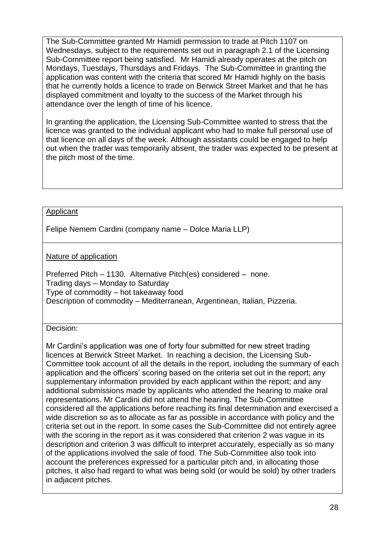The Sub-Committee granted Mr Hamidi permission to trade at Pitch 1107 on Wednesdays, subject to the requirements set out in paragraph 2.1 of the Licensing Sub-Committee report being satisfied. Mr Hamidi already operates at the pitch on Mondays, Tuesdays, Thursdays and Fridays. The Sub-Committee in granting the application was content with the criteria that scored Mr Hamidi highly on the basis that he currently holds a licence to trade on Berwick Street Market and that he has displayed commitment and loyalty to the success of the Market through his attendance over the length of time of his licence.

In granting the application, the Licensing Sub-Committee wanted to stress that the licence was granted to the individual applicant who had to make full personal use of that licence on all days of the week. Although assistants could be engaged to help out when the trader was temporarily absent, the trader was expected to be present at the pitch most of the time.

#### Applicant

Felipe Nemem Cardini (company name – Dolce Maria LLP)

# Nature of application

Preferred Pitch – 1130. Alternative Pitch(es) considered – none. Trading days – Monday to Saturday Type of commodity – hot takeaway food Description of commodity – Mediterranean, Argentinean, Italian, Pizzeria.

#### Decision:

Mr Cardini's application was one of forty four submitted for new street trading licences at Berwick Street Market. In reaching a decision, the Licensing Sub-Committee took account of all the details in the report, including the summary of each application and the officers' scoring based on the criteria set out in the report; any supplementary information provided by each applicant within the report; and any additional submissions made by applicants who attended the hearing to make oral representations. Mr Cardini did not attend the hearing. The Sub-Committee considered all the applications before reaching its final determination and exercised a wide discretion so as to allocate as far as possible in accordance with policy and the criteria set out in the report. In some cases the Sub-Committee did not entirely agree with the scoring in the report as it was considered that criterion 2 was vague in its description and criterion 3 was difficult to interpret accurately, especially as so many of the applications involved the sale of food. The Sub-Committee also took into account the preferences expressed for a particular pitch and, in allocating those pitches, it also had regard to what was being sold (or would be sold) by other traders in adjacent pitches.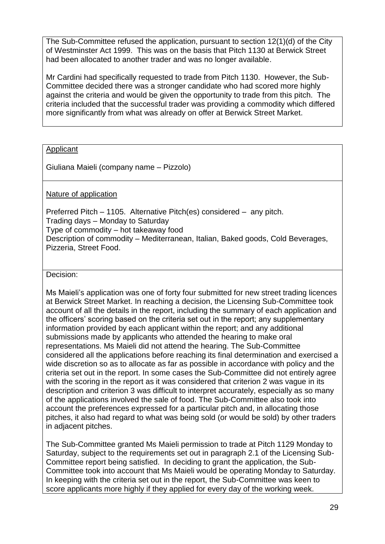The Sub-Committee refused the application, pursuant to section 12(1)(d) of the City of Westminster Act 1999. This was on the basis that Pitch 1130 at Berwick Street had been allocated to another trader and was no longer available.

Mr Cardini had specifically requested to trade from Pitch 1130. However, the Sub-Committee decided there was a stronger candidate who had scored more highly against the criteria and would be given the opportunity to trade from this pitch. The criteria included that the successful trader was providing a commodity which differed more significantly from what was already on offer at Berwick Street Market.

# **Applicant**

Giuliana Maieli (company name – Pizzolo)

Nature of application

Preferred Pitch – 1105. Alternative Pitch(es) considered – any pitch. Trading days – Monday to Saturday Type of commodity – hot takeaway food Description of commodity – Mediterranean, Italian, Baked goods, Cold Beverages, Pizzeria, Street Food.

Decision:

Ms Maieli's application was one of forty four submitted for new street trading licences at Berwick Street Market. In reaching a decision, the Licensing Sub-Committee took account of all the details in the report, including the summary of each application and the officers' scoring based on the criteria set out in the report; any supplementary information provided by each applicant within the report; and any additional submissions made by applicants who attended the hearing to make oral representations. Ms Maieli did not attend the hearing. The Sub-Committee considered all the applications before reaching its final determination and exercised a wide discretion so as to allocate as far as possible in accordance with policy and the criteria set out in the report. In some cases the Sub-Committee did not entirely agree with the scoring in the report as it was considered that criterion 2 was vague in its description and criterion 3 was difficult to interpret accurately, especially as so many of the applications involved the sale of food. The Sub-Committee also took into account the preferences expressed for a particular pitch and, in allocating those pitches, it also had regard to what was being sold (or would be sold) by other traders in adjacent pitches.

The Sub-Committee granted Ms Maieli permission to trade at Pitch 1129 Monday to Saturday, subject to the requirements set out in paragraph 2.1 of the Licensing Sub-Committee report being satisfied. In deciding to grant the application, the Sub-Committee took into account that Ms Maieli would be operating Monday to Saturday. In keeping with the criteria set out in the report, the Sub-Committee was keen to score applicants more highly if they applied for every day of the working week.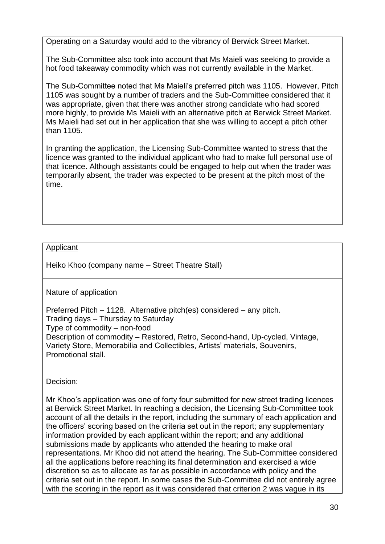Operating on a Saturday would add to the vibrancy of Berwick Street Market.

The Sub-Committee also took into account that Ms Maieli was seeking to provide a hot food takeaway commodity which was not currently available in the Market.

The Sub-Committee noted that Ms Maieli's preferred pitch was 1105. However, Pitch 1105 was sought by a number of traders and the Sub-Committee considered that it was appropriate, given that there was another strong candidate who had scored more highly, to provide Ms Maieli with an alternative pitch at Berwick Street Market. Ms Maieli had set out in her application that she was willing to accept a pitch other than 1105.

In granting the application, the Licensing Sub-Committee wanted to stress that the licence was granted to the individual applicant who had to make full personal use of that licence. Although assistants could be engaged to help out when the trader was temporarily absent, the trader was expected to be present at the pitch most of the time.

# **Applicant**

Heiko Khoo (company name – Street Theatre Stall)

# Nature of application

Preferred Pitch – 1128. Alternative pitch(es) considered – any pitch. Trading days – Thursday to Saturday Type of commodity – non-food Description of commodity – Restored, Retro, Second-hand, Up-cycled, Vintage, Variety Store, Memorabilia and Collectibles, Artists' materials, Souvenirs, Promotional stall.

Decision:

Mr Khoo's application was one of forty four submitted for new street trading licences at Berwick Street Market. In reaching a decision, the Licensing Sub-Committee took account of all the details in the report, including the summary of each application and the officers' scoring based on the criteria set out in the report; any supplementary information provided by each applicant within the report; and any additional submissions made by applicants who attended the hearing to make oral representations. Mr Khoo did not attend the hearing. The Sub-Committee considered all the applications before reaching its final determination and exercised a wide discretion so as to allocate as far as possible in accordance with policy and the criteria set out in the report. In some cases the Sub-Committee did not entirely agree with the scoring in the report as it was considered that criterion 2 was vague in its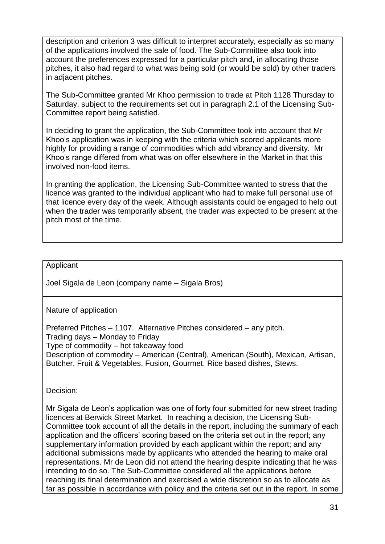description and criterion 3 was difficult to interpret accurately, especially as so many of the applications involved the sale of food. The Sub-Committee also took into account the preferences expressed for a particular pitch and, in allocating those pitches, it also had regard to what was being sold (or would be sold) by other traders in adjacent pitches.

The Sub-Committee granted Mr Khoo permission to trade at Pitch 1128 Thursday to Saturday, subject to the requirements set out in paragraph 2.1 of the Licensing Sub-Committee report being satisfied.

In deciding to grant the application, the Sub-Committee took into account that Mr Khoo's application was in keeping with the criteria which scored applicants more highly for providing a range of commodities which add vibrancy and diversity. Mr Khoo's range differed from what was on offer elsewhere in the Market in that this involved non-food items.

In granting the application, the Licensing Sub-Committee wanted to stress that the licence was granted to the individual applicant who had to make full personal use of that licence every day of the week. Although assistants could be engaged to help out when the trader was temporarily absent, the trader was expected to be present at the pitch most of the time.

# Applicant

Joel Sigala de Leon (company name – Sigala Bros)

Nature of application

Preferred Pitches – 1107. Alternative Pitches considered – any pitch. Trading days – Monday to Friday Type of commodity – hot takeaway food Description of commodity – American (Central), American (South), Mexican, Artisan, Butcher, Fruit & Vegetables, Fusion, Gourmet, Rice based dishes, Stews.

Decision:

Mr Sigala de Leon's application was one of forty four submitted for new street trading licences at Berwick Street Market. In reaching a decision, the Licensing Sub-Committee took account of all the details in the report, including the summary of each application and the officers' scoring based on the criteria set out in the report; any supplementary information provided by each applicant within the report; and any additional submissions made by applicants who attended the hearing to make oral representations. Mr de Leon did not attend the hearing despite indicating that he was intending to do so. The Sub-Committee considered all the applications before reaching its final determination and exercised a wide discretion so as to allocate as far as possible in accordance with policy and the criteria set out in the report. In some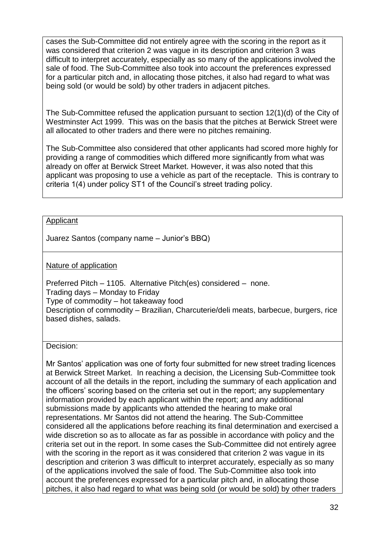cases the Sub-Committee did not entirely agree with the scoring in the report as it was considered that criterion 2 was vague in its description and criterion 3 was difficult to interpret accurately, especially as so many of the applications involved the sale of food. The Sub-Committee also took into account the preferences expressed for a particular pitch and, in allocating those pitches, it also had regard to what was being sold (or would be sold) by other traders in adjacent pitches.

The Sub-Committee refused the application pursuant to section 12(1)(d) of the City of Westminster Act 1999. This was on the basis that the pitches at Berwick Street were all allocated to other traders and there were no pitches remaining.

The Sub-Committee also considered that other applicants had scored more highly for providing a range of commodities which differed more significantly from what was already on offer at Berwick Street Market. However, it was also noted that this applicant was proposing to use a vehicle as part of the receptacle. This is contrary to criteria 1(4) under policy ST1 of the Council's street trading policy.

# **Applicant**

Juarez Santos (company name – Junior's BBQ)

# Nature of application

Preferred Pitch – 1105. Alternative Pitch(es) considered – none. Trading days – Monday to Friday Type of commodity – hot takeaway food Description of commodity – Brazilian, Charcuterie/deli meats, barbecue, burgers, rice based dishes, salads.

Decision:

Mr Santos' application was one of forty four submitted for new street trading licences at Berwick Street Market. In reaching a decision, the Licensing Sub-Committee took account of all the details in the report, including the summary of each application and the officers' scoring based on the criteria set out in the report; any supplementary information provided by each applicant within the report; and any additional submissions made by applicants who attended the hearing to make oral representations. Mr Santos did not attend the hearing. The Sub-Committee considered all the applications before reaching its final determination and exercised a wide discretion so as to allocate as far as possible in accordance with policy and the criteria set out in the report. In some cases the Sub-Committee did not entirely agree with the scoring in the report as it was considered that criterion 2 was vague in its description and criterion 3 was difficult to interpret accurately, especially as so many of the applications involved the sale of food. The Sub-Committee also took into account the preferences expressed for a particular pitch and, in allocating those pitches, it also had regard to what was being sold (or would be sold) by other traders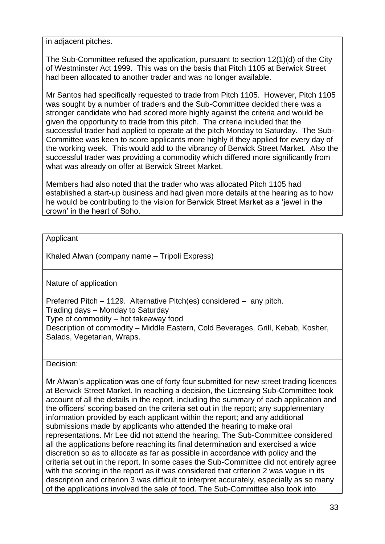in adjacent pitches.

The Sub-Committee refused the application, pursuant to section 12(1)(d) of the City of Westminster Act 1999. This was on the basis that Pitch 1105 at Berwick Street had been allocated to another trader and was no longer available.

Mr Santos had specifically requested to trade from Pitch 1105. However, Pitch 1105 was sought by a number of traders and the Sub-Committee decided there was a stronger candidate who had scored more highly against the criteria and would be given the opportunity to trade from this pitch. The criteria included that the successful trader had applied to operate at the pitch Monday to Saturday. The Sub-Committee was keen to score applicants more highly if they applied for every day of the working week. This would add to the vibrancy of Berwick Street Market. Also the successful trader was providing a commodity which differed more significantly from what was already on offer at Berwick Street Market.

Members had also noted that the trader who was allocated Pitch 1105 had established a start-up business and had given more details at the hearing as to how he would be contributing to the vision for Berwick Street Market as a 'jewel in the crown' in the heart of Soho.

# Applicant

Khaled Alwan (company name – Tripoli Express)

#### Nature of application

Preferred Pitch – 1129. Alternative Pitch(es) considered – any pitch. Trading days – Monday to Saturday Type of commodity – hot takeaway food Description of commodity – Middle Eastern, Cold Beverages, Grill, Kebab, Kosher, Salads, Vegetarian, Wraps.

#### Decision:

Mr Alwan's application was one of forty four submitted for new street trading licences at Berwick Street Market. In reaching a decision, the Licensing Sub-Committee took account of all the details in the report, including the summary of each application and the officers' scoring based on the criteria set out in the report; any supplementary information provided by each applicant within the report; and any additional submissions made by applicants who attended the hearing to make oral representations. Mr Lee did not attend the hearing. The Sub-Committee considered all the applications before reaching its final determination and exercised a wide discretion so as to allocate as far as possible in accordance with policy and the criteria set out in the report. In some cases the Sub-Committee did not entirely agree with the scoring in the report as it was considered that criterion 2 was vague in its description and criterion 3 was difficult to interpret accurately, especially as so many of the applications involved the sale of food. The Sub-Committee also took into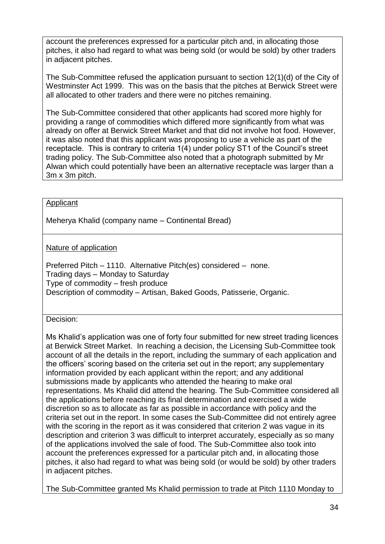account the preferences expressed for a particular pitch and, in allocating those pitches, it also had regard to what was being sold (or would be sold) by other traders in adjacent pitches.

The Sub-Committee refused the application pursuant to section 12(1)(d) of the City of Westminster Act 1999. This was on the basis that the pitches at Berwick Street were all allocated to other traders and there were no pitches remaining.

The Sub-Committee considered that other applicants had scored more highly for providing a range of commodities which differed more significantly from what was already on offer at Berwick Street Market and that did not involve hot food. However, it was also noted that this applicant was proposing to use a vehicle as part of the receptacle. This is contrary to criteria 1(4) under policy ST1 of the Council's street trading policy. The Sub-Committee also noted that a photograph submitted by Mr Alwan which could potentially have been an alternative receptacle was larger than a 3m x 3m pitch.

# Applicant

Meherya Khalid (company name – Continental Bread)

# Nature of application

Preferred Pitch – 1110. Alternative Pitch(es) considered – none. Trading days – Monday to Saturday Type of commodity – fresh produce Description of commodity – Artisan, Baked Goods, Patisserie, Organic.

#### Decision:

Ms Khalid's application was one of forty four submitted for new street trading licences at Berwick Street Market. In reaching a decision, the Licensing Sub-Committee took account of all the details in the report, including the summary of each application and the officers' scoring based on the criteria set out in the report; any supplementary information provided by each applicant within the report; and any additional submissions made by applicants who attended the hearing to make oral representations. Ms Khalid did attend the hearing. The Sub-Committee considered all the applications before reaching its final determination and exercised a wide discretion so as to allocate as far as possible in accordance with policy and the criteria set out in the report. In some cases the Sub-Committee did not entirely agree with the scoring in the report as it was considered that criterion 2 was vague in its description and criterion 3 was difficult to interpret accurately, especially as so many of the applications involved the sale of food. The Sub-Committee also took into account the preferences expressed for a particular pitch and, in allocating those pitches, it also had regard to what was being sold (or would be sold) by other traders in adjacent pitches.

The Sub-Committee granted Ms Khalid permission to trade at Pitch 1110 Monday to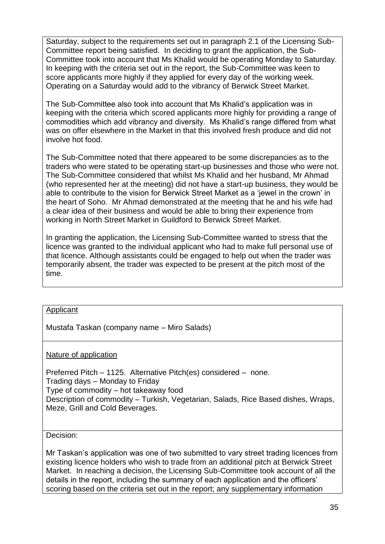Saturday, subject to the requirements set out in paragraph 2.1 of the Licensing Sub-Committee report being satisfied. In deciding to grant the application, the Sub-Committee took into account that Ms Khalid would be operating Monday to Saturday. In keeping with the criteria set out in the report, the Sub-Committee was keen to score applicants more highly if they applied for every day of the working week. Operating on a Saturday would add to the vibrancy of Berwick Street Market.

The Sub-Committee also took into account that Ms Khalid's application was in keeping with the criteria which scored applicants more highly for providing a range of commodities which add vibrancy and diversity. Ms Khalid's range differed from what was on offer elsewhere in the Market in that this involved fresh produce and did not involve hot food.

The Sub-Committee noted that there appeared to be some discrepancies as to the traders who were stated to be operating start-up businesses and those who were not. The Sub-Committee considered that whilst Ms Khalid and her husband, Mr Ahmad (who represented her at the meeting) did not have a start-up business, they would be able to contribute to the vision for Berwick Street Market as a 'jewel in the crown' in the heart of Soho. Mr Ahmad demonstrated at the meeting that he and his wife had a clear idea of their business and would be able to bring their experience from working in North Street Market in Guildford to Berwick Street Market.

In granting the application, the Licensing Sub-Committee wanted to stress that the licence was granted to the individual applicant who had to make full personal use of that licence. Although assistants could be engaged to help out when the trader was temporarily absent, the trader was expected to be present at the pitch most of the time.

#### Applicant

Mustafa Taskan (company name – Miro Salads)

#### Nature of application

Preferred Pitch – 1125. Alternative Pitch(es) considered – none. Trading days – Monday to Friday Type of commodity – hot takeaway food Description of commodity – Turkish, Vegetarian, Salads, Rice Based dishes, Wraps, Meze, Grill and Cold Beverages.

Decision:

Mr Taskan's application was one of two submitted to vary street trading licences from existing licence holders who wish to trade from an additional pitch at Berwick Street Market. In reaching a decision, the Licensing Sub-Committee took account of all the details in the report, including the summary of each application and the officers' scoring based on the criteria set out in the report; any supplementary information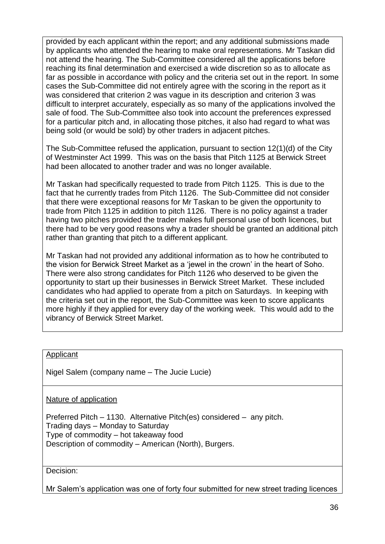provided by each applicant within the report; and any additional submissions made by applicants who attended the hearing to make oral representations. Mr Taskan did not attend the hearing. The Sub-Committee considered all the applications before reaching its final determination and exercised a wide discretion so as to allocate as far as possible in accordance with policy and the criteria set out in the report. In some cases the Sub-Committee did not entirely agree with the scoring in the report as it was considered that criterion 2 was vague in its description and criterion 3 was difficult to interpret accurately, especially as so many of the applications involved the sale of food. The Sub-Committee also took into account the preferences expressed for a particular pitch and, in allocating those pitches, it also had regard to what was being sold (or would be sold) by other traders in adjacent pitches.

The Sub-Committee refused the application, pursuant to section 12(1)(d) of the City of Westminster Act 1999. This was on the basis that Pitch 1125 at Berwick Street had been allocated to another trader and was no longer available.

Mr Taskan had specifically requested to trade from Pitch 1125. This is due to the fact that he currently trades from Pitch 1126. The Sub-Committee did not consider that there were exceptional reasons for Mr Taskan to be given the opportunity to trade from Pitch 1125 in addition to pitch 1126. There is no policy against a trader having two pitches provided the trader makes full personal use of both licences, but there had to be very good reasons why a trader should be granted an additional pitch rather than granting that pitch to a different applicant.

Mr Taskan had not provided any additional information as to how he contributed to the vision for Berwick Street Market as a 'jewel in the crown' in the heart of Soho. There were also strong candidates for Pitch 1126 who deserved to be given the opportunity to start up their businesses in Berwick Street Market. These included candidates who had applied to operate from a pitch on Saturdays. In keeping with the criteria set out in the report, the Sub-Committee was keen to score applicants more highly if they applied for every day of the working week. This would add to the vibrancy of Berwick Street Market.

#### Applicant

Nigel Salem (company name – The Jucie Lucie)

Nature of application

Preferred Pitch – 1130. Alternative Pitch(es) considered – any pitch. Trading days – Monday to Saturday Type of commodity – hot takeaway food Description of commodity – American (North), Burgers.

Decision:

Mr Salem's application was one of forty four submitted for new street trading licences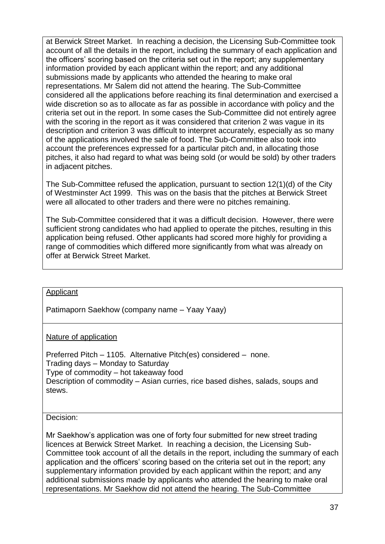at Berwick Street Market. In reaching a decision, the Licensing Sub-Committee took account of all the details in the report, including the summary of each application and the officers' scoring based on the criteria set out in the report; any supplementary information provided by each applicant within the report; and any additional submissions made by applicants who attended the hearing to make oral representations. Mr Salem did not attend the hearing. The Sub-Committee considered all the applications before reaching its final determination and exercised a wide discretion so as to allocate as far as possible in accordance with policy and the criteria set out in the report. In some cases the Sub-Committee did not entirely agree with the scoring in the report as it was considered that criterion 2 was vague in its description and criterion 3 was difficult to interpret accurately, especially as so many of the applications involved the sale of food. The Sub-Committee also took into account the preferences expressed for a particular pitch and, in allocating those pitches, it also had regard to what was being sold (or would be sold) by other traders in adjacent pitches.

The Sub-Committee refused the application, pursuant to section 12(1)(d) of the City of Westminster Act 1999. This was on the basis that the pitches at Berwick Street were all allocated to other traders and there were no pitches remaining.

The Sub-Committee considered that it was a difficult decision. However, there were sufficient strong candidates who had applied to operate the pitches, resulting in this application being refused. Other applicants had scored more highly for providing a range of commodities which differed more significantly from what was already on offer at Berwick Street Market.

#### Applicant

Patimaporn Saekhow (company name – Yaay Yaay)

#### Nature of application

Preferred Pitch – 1105. Alternative Pitch(es) considered – none. Trading days – Monday to Saturday Type of commodity – hot takeaway food Description of commodity – Asian curries, rice based dishes, salads, soups and stews.

#### Decision:

Mr Saekhow's application was one of forty four submitted for new street trading licences at Berwick Street Market. In reaching a decision, the Licensing Sub-Committee took account of all the details in the report, including the summary of each application and the officers' scoring based on the criteria set out in the report; any supplementary information provided by each applicant within the report; and any additional submissions made by applicants who attended the hearing to make oral representations. Mr Saekhow did not attend the hearing. The Sub-Committee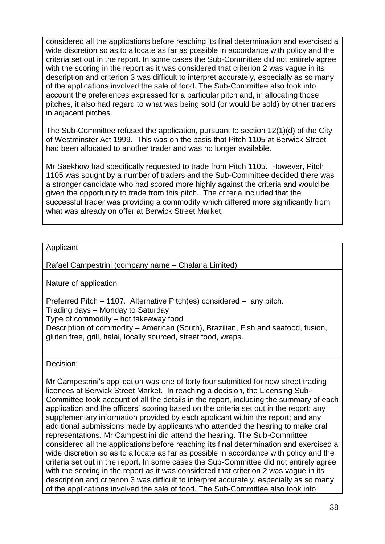considered all the applications before reaching its final determination and exercised a wide discretion so as to allocate as far as possible in accordance with policy and the criteria set out in the report. In some cases the Sub-Committee did not entirely agree with the scoring in the report as it was considered that criterion 2 was vague in its description and criterion 3 was difficult to interpret accurately, especially as so many of the applications involved the sale of food. The Sub-Committee also took into account the preferences expressed for a particular pitch and, in allocating those pitches, it also had regard to what was being sold (or would be sold) by other traders in adjacent pitches.

The Sub-Committee refused the application, pursuant to section 12(1)(d) of the City of Westminster Act 1999. This was on the basis that Pitch 1105 at Berwick Street had been allocated to another trader and was no longer available.

Mr Saekhow had specifically requested to trade from Pitch 1105. However, Pitch 1105 was sought by a number of traders and the Sub-Committee decided there was a stronger candidate who had scored more highly against the criteria and would be given the opportunity to trade from this pitch. The criteria included that the successful trader was providing a commodity which differed more significantly from what was already on offer at Berwick Street Market.

# **Applicant**

Rafael Campestrini (company name – Chalana Limited)

Nature of application

Preferred Pitch – 1107. Alternative Pitch(es) considered – any pitch. Trading days – Monday to Saturday Type of commodity – hot takeaway food Description of commodity – American (South), Brazilian, Fish and seafood, fusion, gluten free, grill, halal, locally sourced, street food, wraps.

Decision:

Mr Campestrini's application was one of forty four submitted for new street trading licences at Berwick Street Market. In reaching a decision, the Licensing Sub-Committee took account of all the details in the report, including the summary of each application and the officers' scoring based on the criteria set out in the report; any supplementary information provided by each applicant within the report; and any additional submissions made by applicants who attended the hearing to make oral representations. Mr Campestrini did attend the hearing. The Sub-Committee considered all the applications before reaching its final determination and exercised a wide discretion so as to allocate as far as possible in accordance with policy and the criteria set out in the report. In some cases the Sub-Committee did not entirely agree with the scoring in the report as it was considered that criterion 2 was vague in its description and criterion 3 was difficult to interpret accurately, especially as so many of the applications involved the sale of food. The Sub-Committee also took into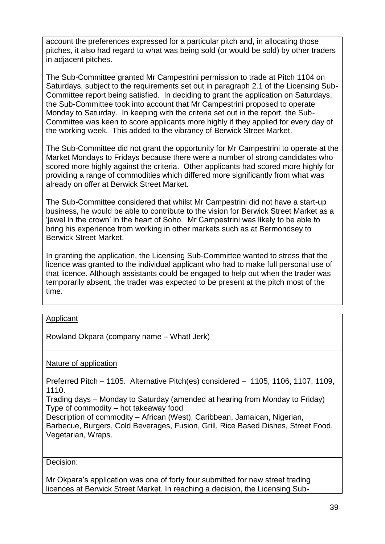account the preferences expressed for a particular pitch and, in allocating those pitches, it also had regard to what was being sold (or would be sold) by other traders in adjacent pitches.

The Sub-Committee granted Mr Campestrini permission to trade at Pitch 1104 on Saturdays, subject to the requirements set out in paragraph 2.1 of the Licensing Sub-Committee report being satisfied. In deciding to grant the application on Saturdays, the Sub-Committee took into account that Mr Campestrini proposed to operate Monday to Saturday. In keeping with the criteria set out in the report, the Sub-Committee was keen to score applicants more highly if they applied for every day of the working week. This added to the vibrancy of Berwick Street Market.

The Sub-Committee did not grant the opportunity for Mr Campestrini to operate at the Market Mondays to Fridays because there were a number of strong candidates who scored more highly against the criteria. Other applicants had scored more highly for providing a range of commodities which differed more significantly from what was already on offer at Berwick Street Market.

The Sub-Committee considered that whilst Mr Campestrini did not have a start-up business, he would be able to contribute to the vision for Berwick Street Market as a 'jewel in the crown' in the heart of Soho. Mr Campestrini was likely to be able to bring his experience from working in other markets such as at Bermondsey to Berwick Street Market.

In granting the application, the Licensing Sub-Committee wanted to stress that the licence was granted to the individual applicant who had to make full personal use of that licence. Although assistants could be engaged to help out when the trader was temporarily absent, the trader was expected to be present at the pitch most of the time.

#### Applicant

Rowland Okpara (company name – What! Jerk)

#### Nature of application

Preferred Pitch – 1105. Alternative Pitch(es) considered – 1105, 1106, 1107, 1109, 1110.

Trading days – Monday to Saturday (amended at hearing from Monday to Friday) Type of commodity – hot takeaway food

Description of commodity – African (West), Caribbean, Jamaican, Nigerian, Barbecue, Burgers, Cold Beverages, Fusion, Grill, Rice Based Dishes, Street Food, Vegetarian, Wraps.

Decision:

Mr Okpara's application was one of forty four submitted for new street trading licences at Berwick Street Market. In reaching a decision, the Licensing Sub-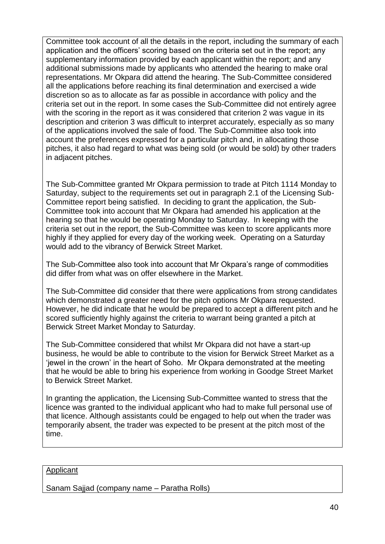Committee took account of all the details in the report, including the summary of each application and the officers' scoring based on the criteria set out in the report; any supplementary information provided by each applicant within the report; and any additional submissions made by applicants who attended the hearing to make oral representations. Mr Okpara did attend the hearing. The Sub-Committee considered all the applications before reaching its final determination and exercised a wide discretion so as to allocate as far as possible in accordance with policy and the criteria set out in the report. In some cases the Sub-Committee did not entirely agree with the scoring in the report as it was considered that criterion 2 was vague in its description and criterion 3 was difficult to interpret accurately, especially as so many of the applications involved the sale of food. The Sub-Committee also took into account the preferences expressed for a particular pitch and, in allocating those pitches, it also had regard to what was being sold (or would be sold) by other traders in adjacent pitches.

The Sub-Committee granted Mr Okpara permission to trade at Pitch 1114 Monday to Saturday, subject to the requirements set out in paragraph 2.1 of the Licensing Sub-Committee report being satisfied. In deciding to grant the application, the Sub-Committee took into account that Mr Okpara had amended his application at the hearing so that he would be operating Monday to Saturday. In keeping with the criteria set out in the report, the Sub-Committee was keen to score applicants more highly if they applied for every day of the working week. Operating on a Saturday would add to the vibrancy of Berwick Street Market.

The Sub-Committee also took into account that Mr Okpara's range of commodities did differ from what was on offer elsewhere in the Market.

The Sub-Committee did consider that there were applications from strong candidates which demonstrated a greater need for the pitch options Mr Okpara requested. However, he did indicate that he would be prepared to accept a different pitch and he scored sufficiently highly against the criteria to warrant being granted a pitch at Berwick Street Market Monday to Saturday.

The Sub-Committee considered that whilst Mr Okpara did not have a start-up business, he would be able to contribute to the vision for Berwick Street Market as a 'jewel in the crown' in the heart of Soho. Mr Okpara demonstrated at the meeting that he would be able to bring his experience from working in Goodge Street Market to Berwick Street Market.

In granting the application, the Licensing Sub-Committee wanted to stress that the licence was granted to the individual applicant who had to make full personal use of that licence. Although assistants could be engaged to help out when the trader was temporarily absent, the trader was expected to be present at the pitch most of the time.

#### Applicant

Sanam Sajjad (company name – Paratha Rolls)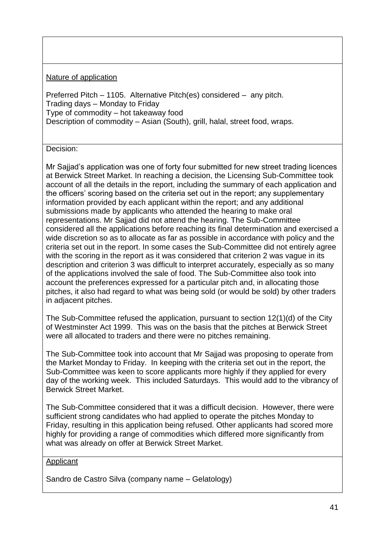# Nature of application

Preferred Pitch – 1105. Alternative Pitch(es) considered – any pitch. Trading days – Monday to Friday Type of commodity – hot takeaway food Description of commodity – Asian (South), grill, halal, street food, wraps.

# Decision:

Mr Sajjad's application was one of forty four submitted for new street trading licences at Berwick Street Market. In reaching a decision, the Licensing Sub-Committee took account of all the details in the report, including the summary of each application and the officers' scoring based on the criteria set out in the report; any supplementary information provided by each applicant within the report; and any additional submissions made by applicants who attended the hearing to make oral representations. Mr Sajjad did not attend the hearing. The Sub-Committee considered all the applications before reaching its final determination and exercised a wide discretion so as to allocate as far as possible in accordance with policy and the criteria set out in the report. In some cases the Sub-Committee did not entirely agree with the scoring in the report as it was considered that criterion 2 was vague in its description and criterion 3 was difficult to interpret accurately, especially as so many of the applications involved the sale of food. The Sub-Committee also took into account the preferences expressed for a particular pitch and, in allocating those pitches, it also had regard to what was being sold (or would be sold) by other traders in adjacent pitches.

The Sub-Committee refused the application, pursuant to section 12(1)(d) of the City of Westminster Act 1999. This was on the basis that the pitches at Berwick Street were all allocated to traders and there were no pitches remaining.

The Sub-Committee took into account that Mr Sajjad was proposing to operate from the Market Monday to Friday. In keeping with the criteria set out in the report, the Sub-Committee was keen to score applicants more highly if they applied for every day of the working week. This included Saturdays. This would add to the vibrancy of Berwick Street Market.

The Sub-Committee considered that it was a difficult decision. However, there were sufficient strong candidates who had applied to operate the pitches Monday to Friday, resulting in this application being refused. Other applicants had scored more highly for providing a range of commodities which differed more significantly from what was already on offer at Berwick Street Market.

#### **Applicant**

Sandro de Castro Silva (company name – Gelatology)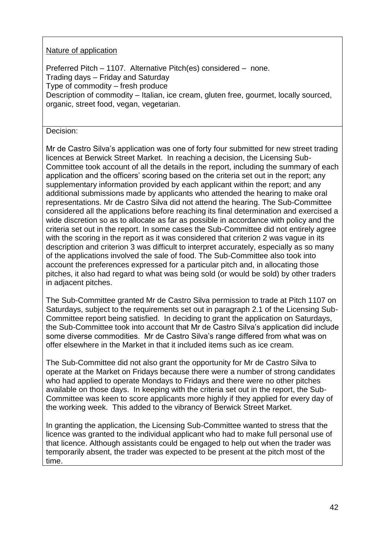# Nature of application

Preferred Pitch – 1107. Alternative Pitch(es) considered – none. Trading days – Friday and Saturday Type of commodity – fresh produce Description of commodity – Italian, ice cream, gluten free, gourmet, locally sourced, organic, street food, vegan, vegetarian.

# Decision:

Mr de Castro Silva's application was one of forty four submitted for new street trading licences at Berwick Street Market. In reaching a decision, the Licensing Sub-Committee took account of all the details in the report, including the summary of each application and the officers' scoring based on the criteria set out in the report; any supplementary information provided by each applicant within the report; and any additional submissions made by applicants who attended the hearing to make oral representations. Mr de Castro Silva did not attend the hearing. The Sub-Committee considered all the applications before reaching its final determination and exercised a wide discretion so as to allocate as far as possible in accordance with policy and the criteria set out in the report. In some cases the Sub-Committee did not entirely agree with the scoring in the report as it was considered that criterion 2 was vague in its description and criterion 3 was difficult to interpret accurately, especially as so many of the applications involved the sale of food. The Sub-Committee also took into account the preferences expressed for a particular pitch and, in allocating those pitches, it also had regard to what was being sold (or would be sold) by other traders in adjacent pitches.

The Sub-Committee granted Mr de Castro Silva permission to trade at Pitch 1107 on Saturdays, subject to the requirements set out in paragraph 2.1 of the Licensing Sub-Committee report being satisfied. In deciding to grant the application on Saturdays, the Sub-Committee took into account that Mr de Castro Silva's application did include some diverse commodities. Mr de Castro Silva's range differed from what was on offer elsewhere in the Market in that it included items such as ice cream.

The Sub-Committee did not also grant the opportunity for Mr de Castro Silva to operate at the Market on Fridays because there were a number of strong candidates who had applied to operate Mondays to Fridays and there were no other pitches available on those days. In keeping with the criteria set out in the report, the Sub-Committee was keen to score applicants more highly if they applied for every day of the working week. This added to the vibrancy of Berwick Street Market.

In granting the application, the Licensing Sub-Committee wanted to stress that the licence was granted to the individual applicant who had to make full personal use of that licence. Although assistants could be engaged to help out when the trader was temporarily absent, the trader was expected to be present at the pitch most of the time.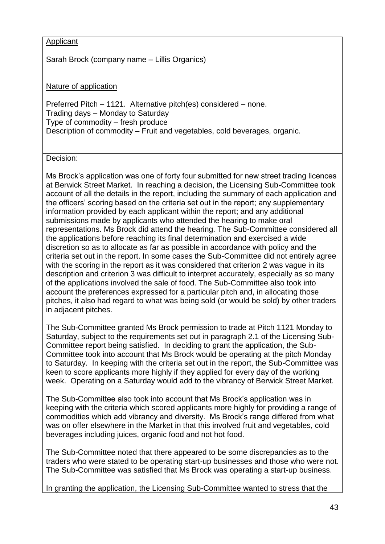# Applicant

Sarah Brock (company name – Lillis Organics)

#### Nature of application

Preferred Pitch – 1121. Alternative pitch(es) considered – none. Trading days – Monday to Saturday Type of commodity – fresh produce Description of commodity – Fruit and vegetables, cold beverages, organic.

Decision:

Ms Brock's application was one of forty four submitted for new street trading licences at Berwick Street Market. In reaching a decision, the Licensing Sub-Committee took account of all the details in the report, including the summary of each application and the officers' scoring based on the criteria set out in the report; any supplementary information provided by each applicant within the report; and any additional submissions made by applicants who attended the hearing to make oral representations. Ms Brock did attend the hearing. The Sub-Committee considered all the applications before reaching its final determination and exercised a wide discretion so as to allocate as far as possible in accordance with policy and the criteria set out in the report. In some cases the Sub-Committee did not entirely agree with the scoring in the report as it was considered that criterion 2 was vague in its description and criterion 3 was difficult to interpret accurately, especially as so many of the applications involved the sale of food. The Sub-Committee also took into account the preferences expressed for a particular pitch and, in allocating those pitches, it also had regard to what was being sold (or would be sold) by other traders in adjacent pitches.

The Sub-Committee granted Ms Brock permission to trade at Pitch 1121 Monday to Saturday, subject to the requirements set out in paragraph 2.1 of the Licensing Sub-Committee report being satisfied. In deciding to grant the application, the Sub-Committee took into account that Ms Brock would be operating at the pitch Monday to Saturday. In keeping with the criteria set out in the report, the Sub-Committee was keen to score applicants more highly if they applied for every day of the working week. Operating on a Saturday would add to the vibrancy of Berwick Street Market.

The Sub-Committee also took into account that Ms Brock's application was in keeping with the criteria which scored applicants more highly for providing a range of commodities which add vibrancy and diversity. Ms Brock's range differed from what was on offer elsewhere in the Market in that this involved fruit and vegetables, cold beverages including juices, organic food and not hot food.

The Sub-Committee noted that there appeared to be some discrepancies as to the traders who were stated to be operating start-up businesses and those who were not. The Sub-Committee was satisfied that Ms Brock was operating a start-up business.

In granting the application, the Licensing Sub-Committee wanted to stress that the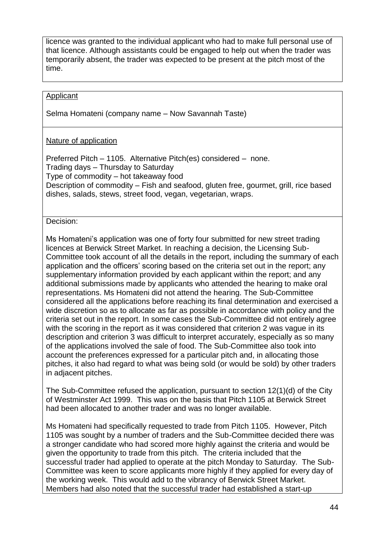licence was granted to the individual applicant who had to make full personal use of that licence. Although assistants could be engaged to help out when the trader was temporarily absent, the trader was expected to be present at the pitch most of the time.

## Applicant

Selma Homateni (company name – Now Savannah Taste)

### Nature of application

Preferred Pitch – 1105. Alternative Pitch(es) considered – none. Trading days – Thursday to Saturday Type of commodity – hot takeaway food Description of commodity – Fish and seafood, gluten free, gourmet, grill, rice based dishes, salads, stews, street food, vegan, vegetarian, wraps.

#### Decision:

Ms Homateni's application was one of forty four submitted for new street trading licences at Berwick Street Market. In reaching a decision, the Licensing Sub-Committee took account of all the details in the report, including the summary of each application and the officers' scoring based on the criteria set out in the report; any supplementary information provided by each applicant within the report; and any additional submissions made by applicants who attended the hearing to make oral representations. Ms Homateni did not attend the hearing. The Sub-Committee considered all the applications before reaching its final determination and exercised a wide discretion so as to allocate as far as possible in accordance with policy and the criteria set out in the report. In some cases the Sub-Committee did not entirely agree with the scoring in the report as it was considered that criterion 2 was vague in its description and criterion 3 was difficult to interpret accurately, especially as so many of the applications involved the sale of food. The Sub-Committee also took into account the preferences expressed for a particular pitch and, in allocating those pitches, it also had regard to what was being sold (or would be sold) by other traders in adjacent pitches.

The Sub-Committee refused the application, pursuant to section 12(1)(d) of the City of Westminster Act 1999. This was on the basis that Pitch 1105 at Berwick Street had been allocated to another trader and was no longer available.

Ms Homateni had specifically requested to trade from Pitch 1105. However, Pitch 1105 was sought by a number of traders and the Sub-Committee decided there was a stronger candidate who had scored more highly against the criteria and would be given the opportunity to trade from this pitch. The criteria included that the successful trader had applied to operate at the pitch Monday to Saturday. The Sub-Committee was keen to score applicants more highly if they applied for every day of the working week. This would add to the vibrancy of Berwick Street Market. Members had also noted that the successful trader had established a start-up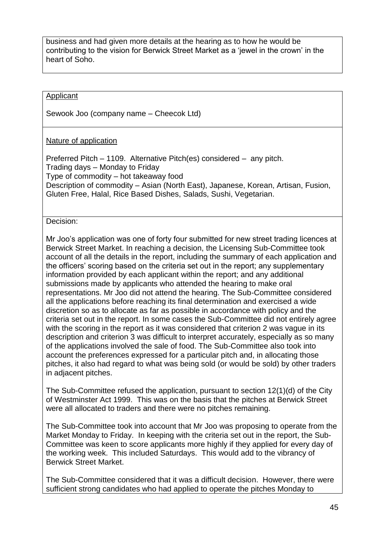business and had given more details at the hearing as to how he would be contributing to the vision for Berwick Street Market as a 'jewel in the crown' in the heart of Soho.

## Applicant

Sewook Joo (company name – Cheecok Ltd)

#### Nature of application

Preferred Pitch – 1109. Alternative Pitch(es) considered – any pitch. Trading days – Monday to Friday Type of commodity – hot takeaway food Description of commodity – Asian (North East), Japanese, Korean, Artisan, Fusion, Gluten Free, Halal, Rice Based Dishes, Salads, Sushi, Vegetarian.

#### Decision:

Mr Joo's application was one of forty four submitted for new street trading licences at Berwick Street Market. In reaching a decision, the Licensing Sub-Committee took account of all the details in the report, including the summary of each application and the officers' scoring based on the criteria set out in the report; any supplementary information provided by each applicant within the report; and any additional submissions made by applicants who attended the hearing to make oral representations. Mr Joo did not attend the hearing. The Sub-Committee considered all the applications before reaching its final determination and exercised a wide discretion so as to allocate as far as possible in accordance with policy and the criteria set out in the report. In some cases the Sub-Committee did not entirely agree with the scoring in the report as it was considered that criterion 2 was vague in its description and criterion 3 was difficult to interpret accurately, especially as so many of the applications involved the sale of food. The Sub-Committee also took into account the preferences expressed for a particular pitch and, in allocating those pitches, it also had regard to what was being sold (or would be sold) by other traders in adjacent pitches.

The Sub-Committee refused the application, pursuant to section 12(1)(d) of the City of Westminster Act 1999. This was on the basis that the pitches at Berwick Street were all allocated to traders and there were no pitches remaining.

The Sub-Committee took into account that Mr Joo was proposing to operate from the Market Monday to Friday. In keeping with the criteria set out in the report, the Sub-Committee was keen to score applicants more highly if they applied for every day of the working week. This included Saturdays. This would add to the vibrancy of Berwick Street Market.

The Sub-Committee considered that it was a difficult decision. However, there were sufficient strong candidates who had applied to operate the pitches Monday to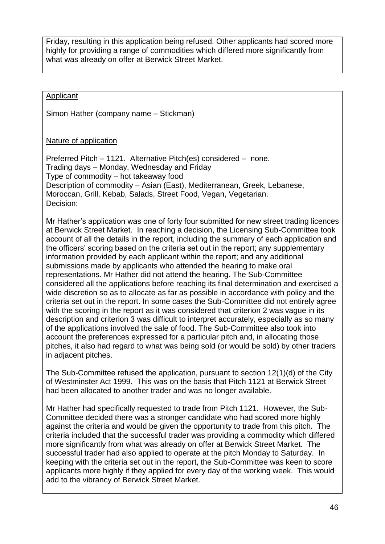Friday, resulting in this application being refused. Other applicants had scored more highly for providing a range of commodities which differed more significantly from what was already on offer at Berwick Street Market.

# Applicant

Simon Hather (company name – Stickman)

# Nature of application

Preferred Pitch – 1121. Alternative Pitch(es) considered – none. Trading days – Monday, Wednesday and Friday Type of commodity – hot takeaway food Description of commodity – Asian (East), Mediterranean, Greek, Lebanese, Moroccan, Grill, Kebab, Salads, Street Food, Vegan, Vegetarian. Decision:

Mr Hather's application was one of forty four submitted for new street trading licences at Berwick Street Market. In reaching a decision, the Licensing Sub-Committee took account of all the details in the report, including the summary of each application and the officers' scoring based on the criteria set out in the report; any supplementary information provided by each applicant within the report; and any additional submissions made by applicants who attended the hearing to make oral representations. Mr Hather did not attend the hearing. The Sub-Committee considered all the applications before reaching its final determination and exercised a wide discretion so as to allocate as far as possible in accordance with policy and the criteria set out in the report. In some cases the Sub-Committee did not entirely agree with the scoring in the report as it was considered that criterion 2 was vague in its description and criterion 3 was difficult to interpret accurately, especially as so many of the applications involved the sale of food. The Sub-Committee also took into account the preferences expressed for a particular pitch and, in allocating those pitches, it also had regard to what was being sold (or would be sold) by other traders in adjacent pitches.

The Sub-Committee refused the application, pursuant to section 12(1)(d) of the City of Westminster Act 1999. This was on the basis that Pitch 1121 at Berwick Street had been allocated to another trader and was no longer available.

Mr Hather had specifically requested to trade from Pitch 1121. However, the Sub-Committee decided there was a stronger candidate who had scored more highly against the criteria and would be given the opportunity to trade from this pitch. The criteria included that the successful trader was providing a commodity which differed more significantly from what was already on offer at Berwick Street Market. The successful trader had also applied to operate at the pitch Monday to Saturday. In keeping with the criteria set out in the report, the Sub-Committee was keen to score applicants more highly if they applied for every day of the working week. This would add to the vibrancy of Berwick Street Market.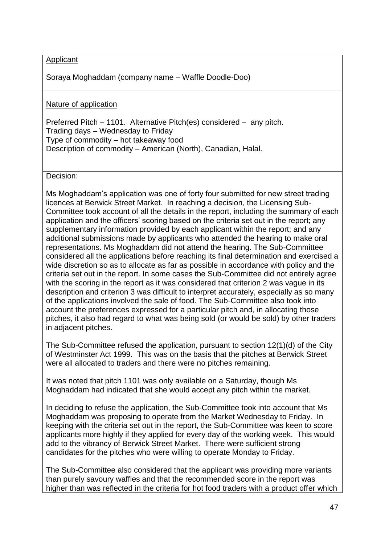Applicant

Soraya Moghaddam (company name – Waffle Doodle-Doo)

Nature of application

Preferred Pitch – 1101. Alternative Pitch(es) considered – any pitch. Trading days – Wednesday to Friday Type of commodity – hot takeaway food Description of commodity – American (North), Canadian, Halal.

Decision:

Ms Moghaddam's application was one of forty four submitted for new street trading licences at Berwick Street Market. In reaching a decision, the Licensing Sub-Committee took account of all the details in the report, including the summary of each application and the officers' scoring based on the criteria set out in the report; any supplementary information provided by each applicant within the report; and any additional submissions made by applicants who attended the hearing to make oral representations. Ms Moghaddam did not attend the hearing. The Sub-Committee considered all the applications before reaching its final determination and exercised a wide discretion so as to allocate as far as possible in accordance with policy and the criteria set out in the report. In some cases the Sub-Committee did not entirely agree with the scoring in the report as it was considered that criterion 2 was vague in its description and criterion 3 was difficult to interpret accurately, especially as so many of the applications involved the sale of food. The Sub-Committee also took into account the preferences expressed for a particular pitch and, in allocating those pitches, it also had regard to what was being sold (or would be sold) by other traders in adjacent pitches.

The Sub-Committee refused the application, pursuant to section 12(1)(d) of the City of Westminster Act 1999. This was on the basis that the pitches at Berwick Street were all allocated to traders and there were no pitches remaining.

It was noted that pitch 1101 was only available on a Saturday, though Ms Moghaddam had indicated that she would accept any pitch within the market.

In deciding to refuse the application, the Sub-Committee took into account that Ms Moghaddam was proposing to operate from the Market Wednesday to Friday. In keeping with the criteria set out in the report, the Sub-Committee was keen to score applicants more highly if they applied for every day of the working week. This would add to the vibrancy of Berwick Street Market. There were sufficient strong candidates for the pitches who were willing to operate Monday to Friday.

The Sub-Committee also considered that the applicant was providing more variants than purely savoury waffles and that the recommended score in the report was higher than was reflected in the criteria for hot food traders with a product offer which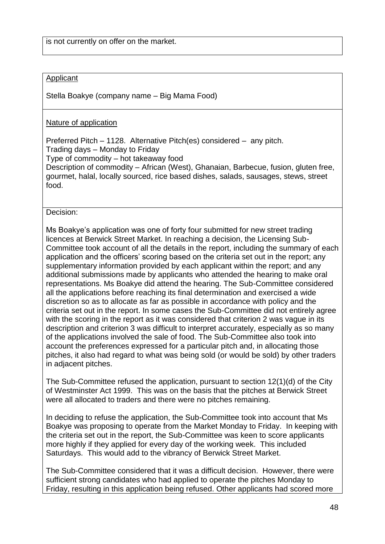#### Applicant

Stella Boakye (company name – Big Mama Food)

#### Nature of application

Preferred Pitch – 1128. Alternative Pitch(es) considered – any pitch. Trading days – Monday to Friday Type of commodity – hot takeaway food

Description of commodity – African (West), Ghanaian, Barbecue, fusion, gluten free, gourmet, halal, locally sourced, rice based dishes, salads, sausages, stews, street food.

#### Decision:

Ms Boakye's application was one of forty four submitted for new street trading licences at Berwick Street Market. In reaching a decision, the Licensing Sub-Committee took account of all the details in the report, including the summary of each application and the officers' scoring based on the criteria set out in the report; any supplementary information provided by each applicant within the report; and any additional submissions made by applicants who attended the hearing to make oral representations. Ms Boakye did attend the hearing. The Sub-Committee considered all the applications before reaching its final determination and exercised a wide discretion so as to allocate as far as possible in accordance with policy and the criteria set out in the report. In some cases the Sub-Committee did not entirely agree with the scoring in the report as it was considered that criterion 2 was vague in its description and criterion 3 was difficult to interpret accurately, especially as so many of the applications involved the sale of food. The Sub-Committee also took into account the preferences expressed for a particular pitch and, in allocating those pitches, it also had regard to what was being sold (or would be sold) by other traders in adjacent pitches.

The Sub-Committee refused the application, pursuant to section 12(1)(d) of the City of Westminster Act 1999. This was on the basis that the pitches at Berwick Street were all allocated to traders and there were no pitches remaining.

In deciding to refuse the application, the Sub-Committee took into account that Ms Boakye was proposing to operate from the Market Monday to Friday. In keeping with the criteria set out in the report, the Sub-Committee was keen to score applicants more highly if they applied for every day of the working week. This included Saturdays. This would add to the vibrancy of Berwick Street Market.

The Sub-Committee considered that it was a difficult decision. However, there were sufficient strong candidates who had applied to operate the pitches Monday to Friday, resulting in this application being refused. Other applicants had scored more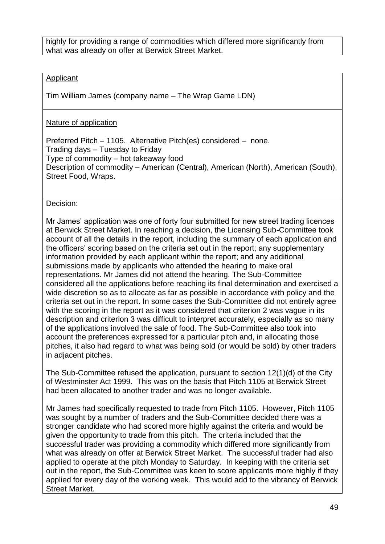highly for providing a range of commodities which differed more significantly from what was already on offer at Berwick Street Market.

#### Applicant

Tim William James (company name – The Wrap Game LDN)

## Nature of application

Preferred Pitch – 1105. Alternative Pitch(es) considered – none. Trading days – Tuesday to Friday Type of commodity – hot takeaway food Description of commodity – American (Central), American (North), American (South), Street Food, Wraps.

Decision:

Mr James' application was one of forty four submitted for new street trading licences at Berwick Street Market. In reaching a decision, the Licensing Sub-Committee took account of all the details in the report, including the summary of each application and the officers' scoring based on the criteria set out in the report; any supplementary information provided by each applicant within the report; and any additional submissions made by applicants who attended the hearing to make oral representations. Mr James did not attend the hearing. The Sub-Committee considered all the applications before reaching its final determination and exercised a wide discretion so as to allocate as far as possible in accordance with policy and the criteria set out in the report. In some cases the Sub-Committee did not entirely agree with the scoring in the report as it was considered that criterion 2 was vague in its description and criterion 3 was difficult to interpret accurately, especially as so many of the applications involved the sale of food. The Sub-Committee also took into account the preferences expressed for a particular pitch and, in allocating those pitches, it also had regard to what was being sold (or would be sold) by other traders in adjacent pitches.

The Sub-Committee refused the application, pursuant to section 12(1)(d) of the City of Westminster Act 1999. This was on the basis that Pitch 1105 at Berwick Street had been allocated to another trader and was no longer available.

Mr James had specifically requested to trade from Pitch 1105. However, Pitch 1105 was sought by a number of traders and the Sub-Committee decided there was a stronger candidate who had scored more highly against the criteria and would be given the opportunity to trade from this pitch. The criteria included that the successful trader was providing a commodity which differed more significantly from what was already on offer at Berwick Street Market. The successful trader had also applied to operate at the pitch Monday to Saturday. In keeping with the criteria set out in the report, the Sub-Committee was keen to score applicants more highly if they applied for every day of the working week. This would add to the vibrancy of Berwick Street Market.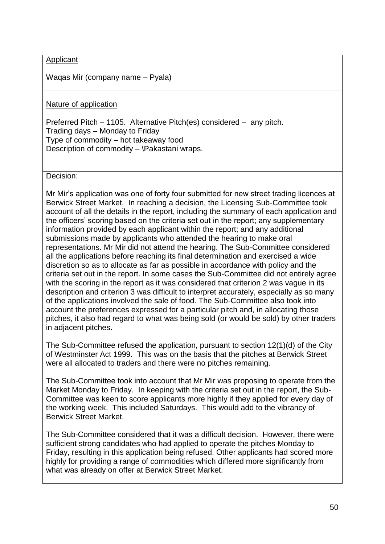#### Applicant

Waqas Mir (company name – Pyala)

Nature of application

Preferred Pitch – 1105. Alternative Pitch(es) considered – any pitch. Trading days – Monday to Friday Type of commodity – hot takeaway food Description of commodity – \Pakastani wraps.

Decision:

Mr Mir's application was one of forty four submitted for new street trading licences at Berwick Street Market. In reaching a decision, the Licensing Sub-Committee took account of all the details in the report, including the summary of each application and the officers' scoring based on the criteria set out in the report; any supplementary information provided by each applicant within the report; and any additional submissions made by applicants who attended the hearing to make oral representations. Mr Mir did not attend the hearing. The Sub-Committee considered all the applications before reaching its final determination and exercised a wide discretion so as to allocate as far as possible in accordance with policy and the criteria set out in the report. In some cases the Sub-Committee did not entirely agree with the scoring in the report as it was considered that criterion 2 was vague in its description and criterion 3 was difficult to interpret accurately, especially as so many of the applications involved the sale of food. The Sub-Committee also took into account the preferences expressed for a particular pitch and, in allocating those pitches, it also had regard to what was being sold (or would be sold) by other traders in adjacent pitches.

The Sub-Committee refused the application, pursuant to section 12(1)(d) of the City of Westminster Act 1999. This was on the basis that the pitches at Berwick Street were all allocated to traders and there were no pitches remaining.

The Sub-Committee took into account that Mr Mir was proposing to operate from the Market Monday to Friday. In keeping with the criteria set out in the report, the Sub-Committee was keen to score applicants more highly if they applied for every day of the working week. This included Saturdays. This would add to the vibrancy of Berwick Street Market.

The Sub-Committee considered that it was a difficult decision. However, there were sufficient strong candidates who had applied to operate the pitches Monday to Friday, resulting in this application being refused. Other applicants had scored more highly for providing a range of commodities which differed more significantly from what was already on offer at Berwick Street Market.